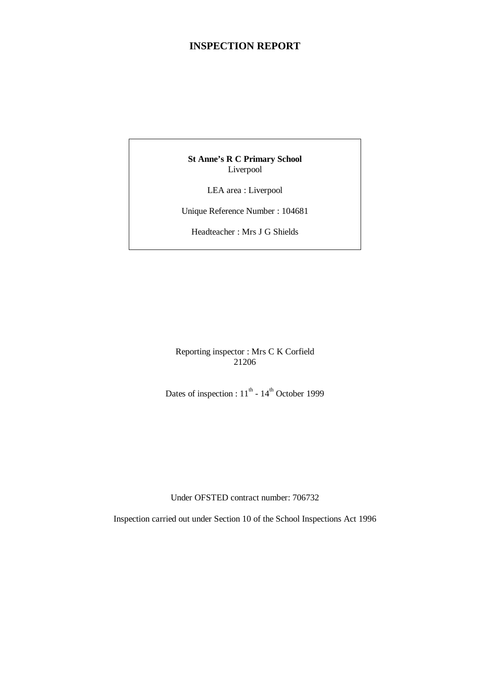# **INSPECTION REPORT**

**St Anne's R C Primary School** Liverpool

LEA area : Liverpool

Unique Reference Number : 104681

Headteacher : Mrs J G Shields

Reporting inspector : Mrs C K Corfield 21206

Dates of inspection :  $11^{th}$  -  $14^{th}$  October 1999

Under OFSTED contract number: 706732

Inspection carried out under Section 10 of the School Inspections Act 1996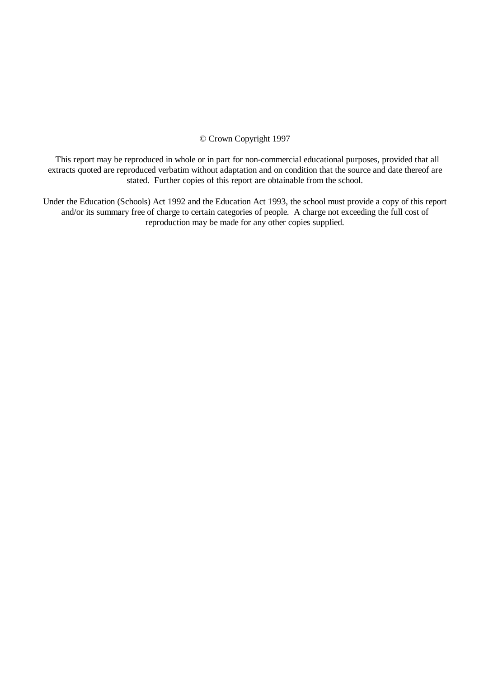© Crown Copyright 1997

 This report may be reproduced in whole or in part for non-commercial educational purposes, provided that all extracts quoted are reproduced verbatim without adaptation and on condition that the source and date thereof are stated. Further copies of this report are obtainable from the school.

Under the Education (Schools) Act 1992 and the Education Act 1993, the school must provide a copy of this report and/or its summary free of charge to certain categories of people. A charge not exceeding the full cost of reproduction may be made for any other copies supplied.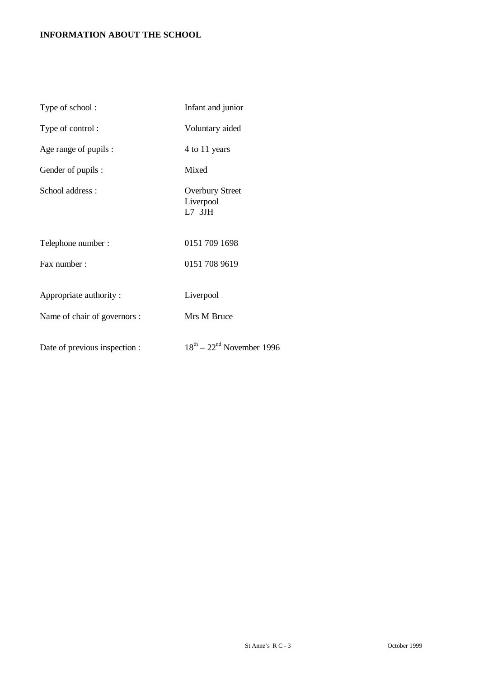# **INFORMATION ABOUT THE SCHOOL**

| Type of school:               | Infant and junior                               |
|-------------------------------|-------------------------------------------------|
| Type of control:              | Voluntary aided                                 |
| Age range of pupils :         | 4 to 11 years                                   |
| Gender of pupils :            | Mixed                                           |
| School address:               | <b>Overbury Street</b><br>Liverpool<br>$L7$ 3JH |
| Telephone number:             | 0151 709 1698                                   |
| Fax number :                  | 0151 708 9619                                   |
| Appropriate authority:        | Liverpool                                       |
| Name of chair of governors :  | Mrs M Bruce                                     |
| Date of previous inspection : | $18^{th}$ – $22^{nd}$ November 1996             |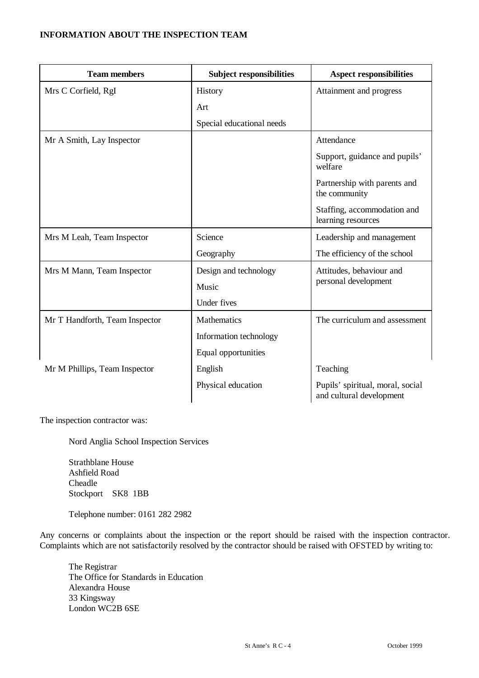## **INFORMATION ABOUT THE INSPECTION TEAM**

| <b>Team members</b>            | <b>Subject responsibilities</b> | <b>Aspect responsibilities</b>                               |
|--------------------------------|---------------------------------|--------------------------------------------------------------|
| Mrs C Corfield, RgI            | History                         | Attainment and progress                                      |
|                                | Art                             |                                                              |
|                                | Special educational needs       |                                                              |
| Mr A Smith, Lay Inspector      |                                 | Attendance                                                   |
|                                |                                 | Support, guidance and pupils'<br>welfare                     |
|                                |                                 | Partnership with parents and<br>the community                |
|                                |                                 | Staffing, accommodation and<br>learning resources            |
| Mrs M Leah, Team Inspector     | Science                         | Leadership and management                                    |
|                                | Geography                       | The efficiency of the school                                 |
| Mrs M Mann, Team Inspector     | Design and technology           | Attitudes, behaviour and                                     |
|                                | Music                           | personal development                                         |
|                                | Under fives                     |                                                              |
| Mr T Handforth, Team Inspector | <b>Mathematics</b>              | The curriculum and assessment                                |
|                                | Information technology          |                                                              |
|                                | Equal opportunities             |                                                              |
| Mr M Phillips, Team Inspector  | English                         | Teaching                                                     |
|                                | Physical education              | Pupils' spiritual, moral, social<br>and cultural development |

The inspection contractor was:

Nord Anglia School Inspection Services

Strathblane House Ashfield Road Cheadle Stockport SK8 1BB

Telephone number: 0161 282 2982

Any concerns or complaints about the inspection or the report should be raised with the inspection contractor. Complaints which are not satisfactorily resolved by the contractor should be raised with OFSTED by writing to:

The Registrar The Office for Standards in Education Alexandra House 33 Kingsway London WC2B 6SE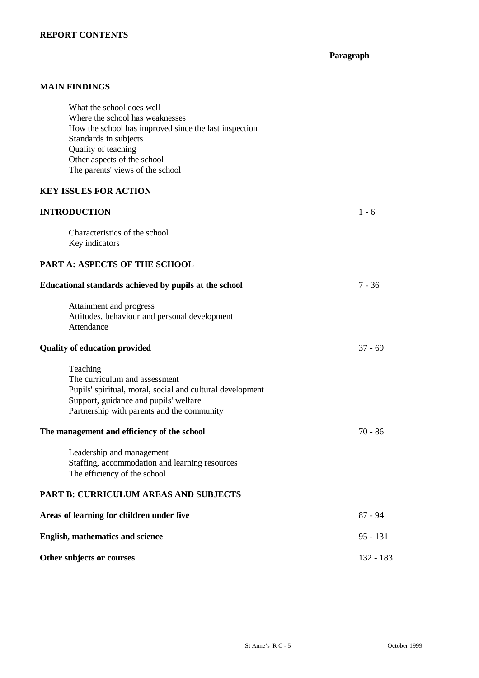# **REPORT CONTENTS**

**Paragraph**

# **MAIN FINDINGS**

| What the school does well<br>Where the school has weaknesses<br>How the school has improved since the last inspection<br>Standards in subjects<br>Quality of teaching<br>Other aspects of the school<br>The parents' views of the school |            |
|------------------------------------------------------------------------------------------------------------------------------------------------------------------------------------------------------------------------------------------|------------|
| <b>KEY ISSUES FOR ACTION</b>                                                                                                                                                                                                             |            |
| <b>INTRODUCTION</b>                                                                                                                                                                                                                      | $1 - 6$    |
| Characteristics of the school<br>Key indicators                                                                                                                                                                                          |            |
| PART A: ASPECTS OF THE SCHOOL                                                                                                                                                                                                            |            |
| Educational standards achieved by pupils at the school                                                                                                                                                                                   | $7 - 36$   |
| Attainment and progress<br>Attitudes, behaviour and personal development<br>Attendance                                                                                                                                                   |            |
| <b>Quality of education provided</b>                                                                                                                                                                                                     | $37 - 69$  |
| Teaching<br>The curriculum and assessment<br>Pupils' spiritual, moral, social and cultural development<br>Support, guidance and pupils' welfare<br>Partnership with parents and the community                                            |            |
| The management and efficiency of the school                                                                                                                                                                                              | $70 - 86$  |
| Leadership and management<br>Staffing, accommodation and learning resources<br>The efficiency of the school                                                                                                                              |            |
| PART B: CURRICULUM AREAS AND SUBJECTS                                                                                                                                                                                                    |            |
| Areas of learning for children under five                                                                                                                                                                                                | $87 - 94$  |
| <b>English, mathematics and science</b>                                                                                                                                                                                                  | $95 - 131$ |
| Other subjects or courses                                                                                                                                                                                                                | 132 - 183  |
|                                                                                                                                                                                                                                          |            |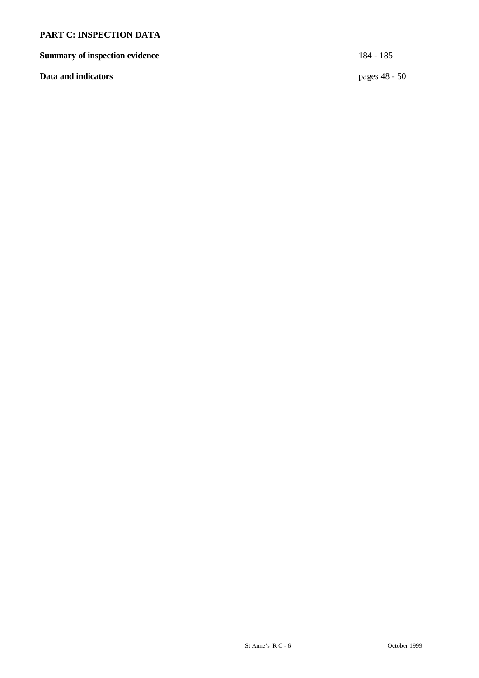# **PART C: INSPECTION DATA**

**Summary of inspection evidence** 184 - 185

**Data and indicators** pages 48 - 50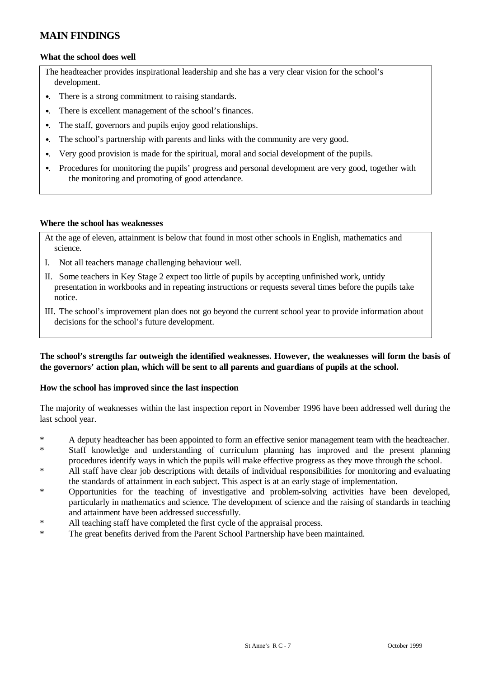# **MAIN FINDINGS**

#### **What the school does well**

The headteacher provides inspirational leadership and she has a very clear vision for the school's development.

- •. There is a strong commitment to raising standards.
- •. There is excellent management of the school's finances.
- •. The staff, governors and pupils enjoy good relationships.
- •. The school's partnership with parents and links with the community are very good.
- •. Very good provision is made for the spiritual, moral and social development of the pupils.
- •. Procedures for monitoring the pupils' progress and personal development are very good, together with the monitoring and promoting of good attendance.

#### **Where the school has weaknesses**

- At the age of eleven, attainment is below that found in most other schools in English, mathematics and science.
- I. Not all teachers manage challenging behaviour well.
- II. Some teachers in Key Stage 2 expect too little of pupils by accepting unfinished work, untidy presentation in workbooks and in repeating instructions or requests several times before the pupils take notice.
- III. The school's improvement plan does not go beyond the current school year to provide information about decisions for the school's future development.

#### **The school's strengths far outweigh the identified weaknesses. However, the weaknesses will form the basis of the governors' action plan, which will be sent to all parents and guardians of pupils at the school.**

#### **How the school has improved since the last inspection**

The majority of weaknesses within the last inspection report in November 1996 have been addressed well during the last school year.

- \* A deputy headteacher has been appointed to form an effective senior management team with the headteacher.
- \* Staff knowledge and understanding of curriculum planning has improved and the present planning procedures identify ways in which the pupils will make effective progress as they move through the school.
- \* All staff have clear job descriptions with details of individual responsibilities for monitoring and evaluating the standards of attainment in each subject. This aspect is at an early stage of implementation.
- Opportunities for the teaching of investigative and problem-solving activities have been developed, particularly in mathematics and science. The development of science and the raising of standards in teaching and attainment have been addressed successfully.
- \* All teaching staff have completed the first cycle of the appraisal process.
- \* The great benefits derived from the Parent School Partnership have been maintained.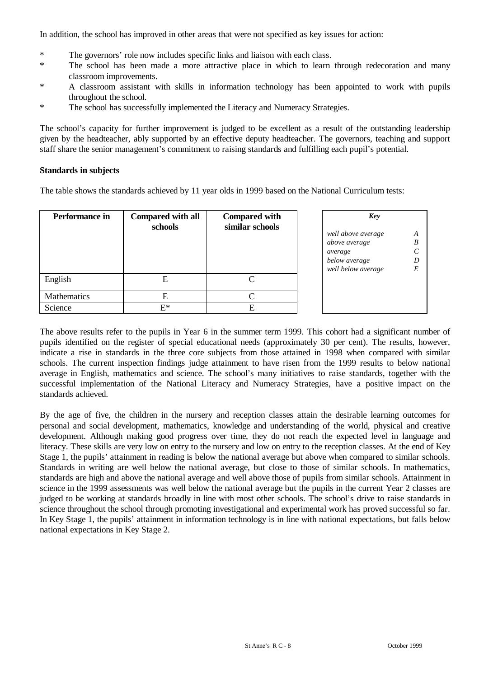In addition, the school has improved in other areas that were not specified as key issues for action:

- \* The governors' role now includes specific links and liaison with each class.
- \* The school has been made a more attractive place in which to learn through redecoration and many classroom improvements.
- \* A classroom assistant with skills in information technology has been appointed to work with pupils throughout the school.
- \* The school has successfully implemented the Literacy and Numeracy Strategies.

The school's capacity for further improvement is judged to be excellent as a result of the outstanding leadership given by the headteacher, ably supported by an effective deputy headteacher. The governors, teaching and support staff share the senior management's commitment to raising standards and fulfilling each pupil's potential.

#### **Standards in subjects**

The table shows the standards achieved by 11 year olds in 1999 based on the National Curriculum tests:

| Performance in | <b>Compared with all</b><br>schools | <b>Compared with</b><br>similar schools | Key<br>well above average<br>above average     | A<br>B |
|----------------|-------------------------------------|-----------------------------------------|------------------------------------------------|--------|
|                |                                     |                                         | average<br>below average<br>well below average | E      |
| English        | E                                   |                                         |                                                |        |
| Mathematics    | Е                                   |                                         |                                                |        |
| Science        | F*                                  |                                         |                                                |        |

The above results refer to the pupils in Year 6 in the summer term 1999. This cohort had a significant number of pupils identified on the register of special educational needs (approximately 30 per cent). The results, however, indicate a rise in standards in the three core subjects from those attained in 1998 when compared with similar schools. The current inspection findings judge attainment to have risen from the 1999 results to below national average in English, mathematics and science. The school's many initiatives to raise standards, together with the successful implementation of the National Literacy and Numeracy Strategies, have a positive impact on the standards achieved.

By the age of five, the children in the nursery and reception classes attain the desirable learning outcomes for personal and social development, mathematics, knowledge and understanding of the world, physical and creative development. Although making good progress over time, they do not reach the expected level in language and literacy. These skills are very low on entry to the nursery and low on entry to the reception classes. At the end of Key Stage 1, the pupils' attainment in reading is below the national average but above when compared to similar schools. Standards in writing are well below the national average, but close to those of similar schools. In mathematics, standards are high and above the national average and well above those of pupils from similar schools. Attainment in science in the 1999 assessments was well below the national average but the pupils in the current Year 2 classes are judged to be working at standards broadly in line with most other schools. The school's drive to raise standards in science throughout the school through promoting investigational and experimental work has proved successful so far. In Key Stage 1, the pupils' attainment in information technology is in line with national expectations, but falls below national expectations in Key Stage 2.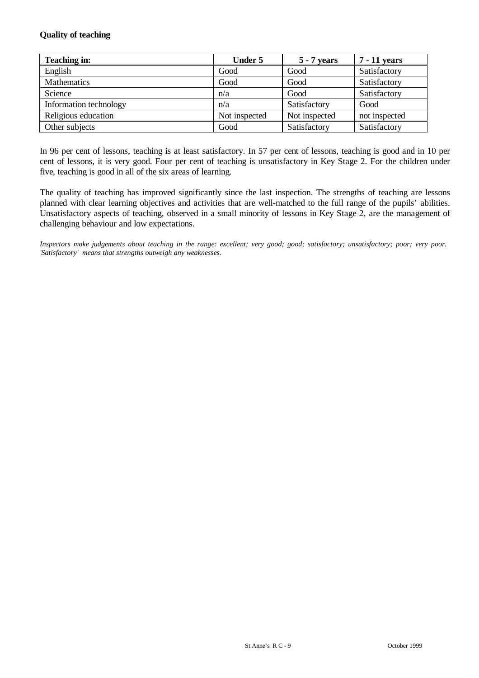## **Quality of teaching**

| Teaching in:           | <b>Under 5</b> | 5 - 7 years   | <b>7</b> - 11 years |
|------------------------|----------------|---------------|---------------------|
| English                | Good           | Good          | Satisfactory        |
| Mathematics            | Good           | Good          | Satisfactory        |
| Science                | n/a            | Good          | Satisfactory        |
| Information technology | n/a            | Satisfactory  | Good                |
| Religious education    | Not inspected  | Not inspected | not inspected       |
| Other subjects         | Good           | Satisfactory  | Satisfactory        |

In 96 per cent of lessons, teaching is at least satisfactory. In 57 per cent of lessons, teaching is good and in 10 per cent of lessons, it is very good. Four per cent of teaching is unsatisfactory in Key Stage 2. For the children under five, teaching is good in all of the six areas of learning.

The quality of teaching has improved significantly since the last inspection. The strengths of teaching are lessons planned with clear learning objectives and activities that are well-matched to the full range of the pupils' abilities. Unsatisfactory aspects of teaching, observed in a small minority of lessons in Key Stage 2, are the management of challenging behaviour and low expectations.

*Inspectors make judgements about teaching in the range: excellent; very good; good; satisfactory; unsatisfactory; poor; very poor. 'Satisfactory' means that strengths outweigh any weaknesses.*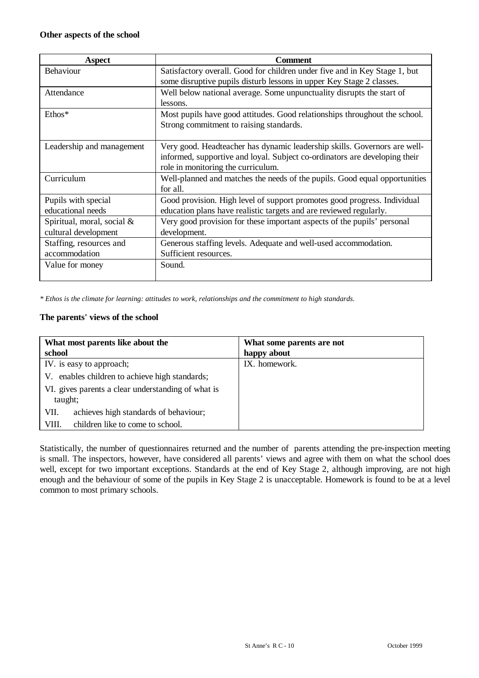| Aspect                                             | <b>Comment</b>                                                                                                                                                                                |
|----------------------------------------------------|-----------------------------------------------------------------------------------------------------------------------------------------------------------------------------------------------|
| <b>Behaviour</b>                                   | Satisfactory overall. Good for children under five and in Key Stage 1, but<br>some disruptive pupils disturb lessons in upper Key Stage 2 classes.                                            |
| Attendance                                         | Well below national average. Some unpunctuality disrupts the start of<br>lessons.                                                                                                             |
| $Ethos*$                                           | Most pupils have good attitudes. Good relationships throughout the school.<br>Strong commitment to raising standards.                                                                         |
| Leadership and management                          | Very good. Headteacher has dynamic leadership skills. Governors are well-<br>informed, supportive and loyal. Subject co-ordinators are developing their<br>role in monitoring the curriculum. |
| Curriculum                                         | Well-planned and matches the needs of the pupils. Good equal opportunities<br>for all.                                                                                                        |
| Pupils with special<br>educational needs           | Good provision. High level of support promotes good progress. Individual<br>education plans have realistic targets and are reviewed regularly.                                                |
| Spiritual, moral, social &<br>cultural development | Very good provision for these important aspects of the pupils' personal<br>development.                                                                                                       |
| Staffing, resources and<br>accommodation           | Generous staffing levels. Adequate and well-used accommodation.<br>Sufficient resources.                                                                                                      |
| Value for money                                    | Sound.                                                                                                                                                                                        |

*\* Ethos is the climate for learning: attitudes to work, relationships and the commitment to high standards.*

## **The parents' views of the school**

| What most parents like about the                              | What some parents are not |
|---------------------------------------------------------------|---------------------------|
| school                                                        | happy about               |
| IV. is easy to approach;                                      | IX. homework.             |
| V. enables children to achieve high standards;                |                           |
| VI. gives parents a clear understanding of what is<br>taught; |                           |
| achieves high standards of behaviour;<br>VII.                 |                           |
| children like to come to school.<br>VIII.                     |                           |

Statistically, the number of questionnaires returned and the number of parents attending the pre-inspection meeting is small. The inspectors, however, have considered all parents' views and agree with them on what the school does well, except for two important exceptions. Standards at the end of Key Stage 2, although improving, are not high enough and the behaviour of some of the pupils in Key Stage 2 is unacceptable. Homework is found to be at a level common to most primary schools.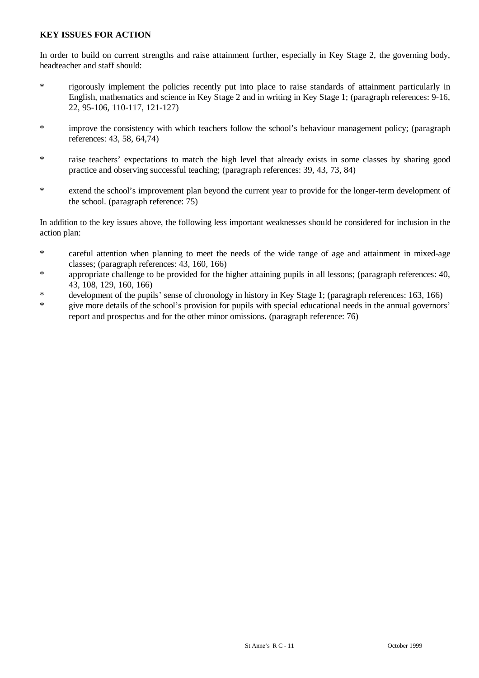## **KEY ISSUES FOR ACTION**

In order to build on current strengths and raise attainment further, especially in Key Stage 2, the governing body, headteacher and staff should:

- \* rigorously implement the policies recently put into place to raise standards of attainment particularly in English, mathematics and science in Key Stage 2 and in writing in Key Stage 1; (paragraph references: 9-16, 22, 95-106, 110-117, 121-127)
- \* improve the consistency with which teachers follow the school's behaviour management policy; (paragraph references: 43, 58, 64,74)
- \* raise teachers' expectations to match the high level that already exists in some classes by sharing good practice and observing successful teaching; (paragraph references: 39, 43, 73, 84)
- \* extend the school's improvement plan beyond the current year to provide for the longer-term development of the school. (paragraph reference: 75)

In addition to the key issues above, the following less important weaknesses should be considered for inclusion in the action plan:

- \* careful attention when planning to meet the needs of the wide range of age and attainment in mixed-age classes; (paragraph references: 43, 160, 166)
- \* appropriate challenge to be provided for the higher attaining pupils in all lessons; (paragraph references: 40, 43, 108, 129, 160, 166)
- \* development of the pupils' sense of chronology in history in Key Stage 1; (paragraph references: 163, 166)
- \* give more details of the school's provision for pupils with special educational needs in the annual governors' report and prospectus and for the other minor omissions. (paragraph reference: 76)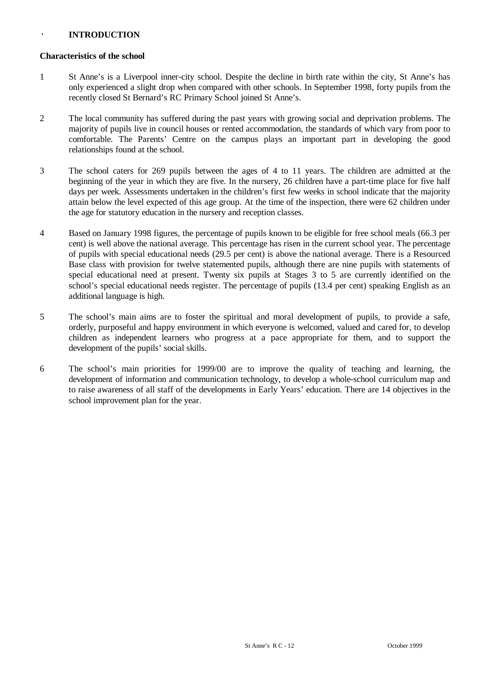## · **INTRODUCTION**

#### **Characteristics of the school**

- 1 St Anne's is a Liverpool inner-city school. Despite the decline in birth rate within the city, St Anne's has only experienced a slight drop when compared with other schools. In September 1998, forty pupils from the recently closed St Bernard's RC Primary School joined St Anne's.
- 2 The local community has suffered during the past years with growing social and deprivation problems. The majority of pupils live in council houses or rented accommodation, the standards of which vary from poor to comfortable. The Parents' Centre on the campus plays an important part in developing the good relationships found at the school.
- 3 The school caters for 269 pupils between the ages of 4 to 11 years. The children are admitted at the beginning of the year in which they are five. In the nursery, 26 children have a part-time place for five half days per week. Assessments undertaken in the children's first few weeks in school indicate that the majority attain below the level expected of this age group. At the time of the inspection, there were 62 children under the age for statutory education in the nursery and reception classes.
- 4 Based on January 1998 figures, the percentage of pupils known to be eligible for free school meals (66.3 per cent) is well above the national average. This percentage has risen in the current school year. The percentage of pupils with special educational needs (29.5 per cent) is above the national average. There is a Resourced Base class with provision for twelve statemented pupils, although there are nine pupils with statements of special educational need at present. Twenty six pupils at Stages 3 to 5 are currently identified on the school's special educational needs register. The percentage of pupils (13.4 per cent) speaking English as an additional language is high.
- 5 The school's main aims are to foster the spiritual and moral development of pupils, to provide a safe, orderly, purposeful and happy environment in which everyone is welcomed, valued and cared for, to develop children as independent learners who progress at a pace appropriate for them, and to support the development of the pupils' social skills.
- 6 The school's main priorities for 1999/00 are to improve the quality of teaching and learning, the development of information and communication technology, to develop a whole-school curriculum map and to raise awareness of all staff of the developments in Early Years' education. There are 14 objectives in the school improvement plan for the year.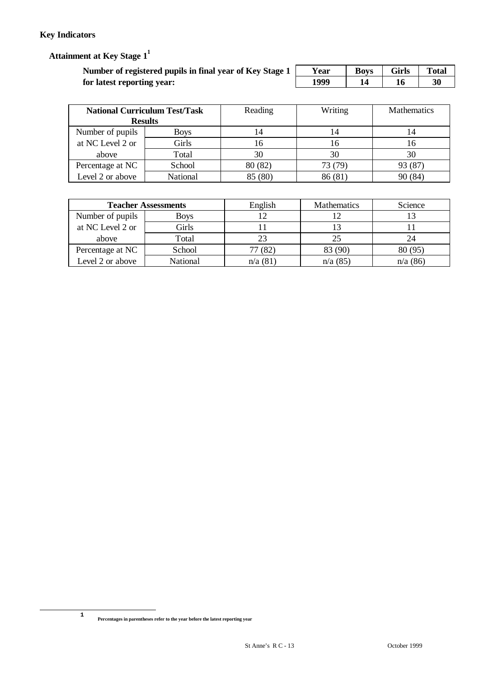# **Key Indicators**

 **Attainment at Key Stage 1<sup>1</sup>**

| Number of registered pupils in final year of Key Stage 1 | Year | <b>Boys</b> | <b>Girls</b> | <b>Total</b> |
|----------------------------------------------------------|------|-------------|--------------|--------------|
| for latest reporting year:                               | 1999 |             |              | 30           |

| <b>National Curriculum Test/Task</b> |                | Reading | Writing | <b>Mathematics</b> |
|--------------------------------------|----------------|---------|---------|--------------------|
|                                      | <b>Results</b> |         |         |                    |
| Number of pupils                     | Boys           |         | 14      | 14                 |
| at NC Level 2 or                     | Girls          |         | 16      | 16                 |
| above                                | Total          | 30      | 30      | 30                 |
| Percentage at NC                     | School         | 80 (82) | 73 (79) | 93 (87)            |
| Level 2 or above                     | National       | 85 (80) | 86 (81) | 90 (84)            |

| <b>Teacher Assessments</b> |                 | English | <b>Mathematics</b> | Science  |
|----------------------------|-----------------|---------|--------------------|----------|
| Number of pupils           | <b>Boys</b>     |         |                    |          |
| at NC Level 2 or           | Girls           |         |                    |          |
| above                      | Total           |         | 25                 | 24       |
| Percentage at NC           | School          | 77(82)  | 83 (90)            | 80(95)   |
| Level 2 or above           | <b>National</b> | n/a(81) | n/a(85)            | n/a (86) |

**1**

 $\overline{a}$ 

**Percentages in parentheses refer to the year before the latest reporting year**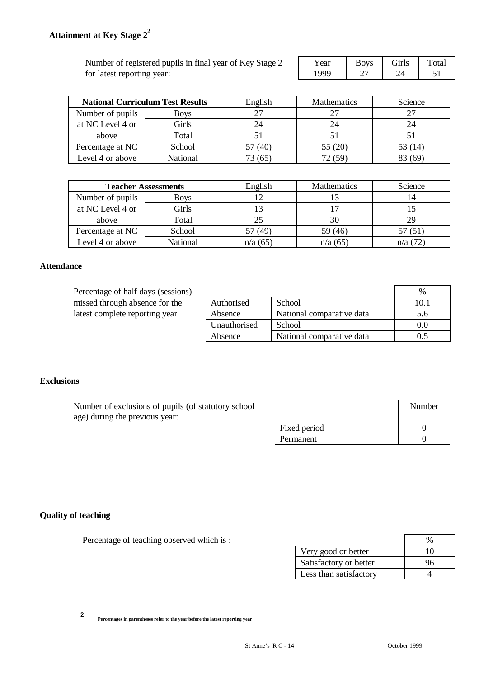Number of registered pupils in final year of Key Stage  $2 \Box$ for latest reporting year:

| $-1$ | $\sim$ $\cdot$ $\sim$ | –<br>'аI |
|------|-----------------------|----------|
|      |                       |          |

| <b>National Curriculum Test Results</b> |          | English | <b>Mathematics</b> | Science |
|-----------------------------------------|----------|---------|--------------------|---------|
| Number of pupils                        | Boys     |         |                    |         |
| at NC Level 4 or                        | Girls    |         | 24                 |         |
| above                                   | Total    |         |                    |         |
| Percentage at NC                        | School   | (40)    | 55 (20)            | 53 (14) |
| Level 4 or above                        | National |         | 12 (59)            | (69     |

| <b>Teacher Assessments</b> |                 | English | <b>Mathematics</b> | Science |
|----------------------------|-----------------|---------|--------------------|---------|
| Number of pupils           | Boys            |         |                    |         |
| at NC Level 4 or           | Girls           |         |                    |         |
| above                      | Total           | 25      | 30                 | 29      |
| Percentage at NC           | School          | 57 (49) | 59 (46)            | 57(51)  |
| Level 4 or above           | <b>National</b> | n/a(65) | n/a(65)            | n/a(72) |

#### **Attendance**

Percentage of half days (sessions) missed through absence for the latest complete reporting year

| Authorised   | School                    | 10.1 |
|--------------|---------------------------|------|
| Absence      | National comparative data | 5.6  |
| Unauthorised | School                    | 0.0  |
| Absence      | National comparative data | 0.5  |

## **Exclusions**

| Number of exclusions of pupils (of statutory school<br>age) during the previous year: |              | Number |
|---------------------------------------------------------------------------------------|--------------|--------|
|                                                                                       | Fixed period |        |
|                                                                                       | Permanent    |        |

# **Quality of teaching**

Percentage of teaching observed which is :

| Very good or better    | 10 |
|------------------------|----|
| Satisfactory or better |    |
| Less than satisfactory |    |

**2**

 $\overline{a}$ 

**Percentages in parentheses refer to the year before the latest reporting year**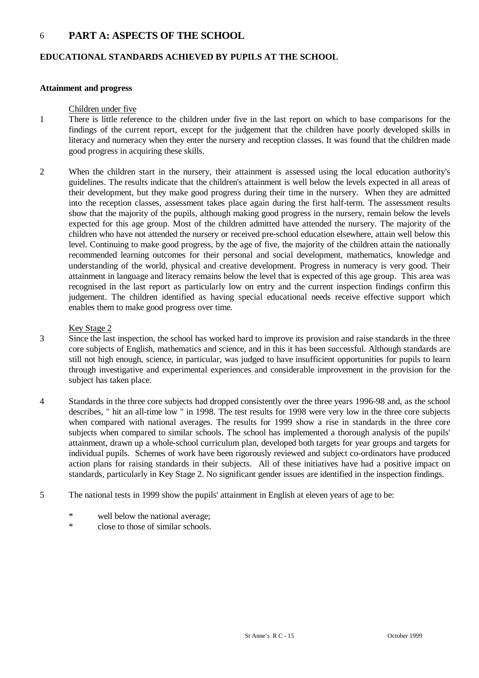# 6 **PART A: ASPECTS OF THE SCHOOL**

#### **EDUCATIONAL STANDARDS ACHIEVED BY PUPILS AT THE SCHOOL**

#### **Attainment and progress**

#### Children under five

- 1 There is little reference to the children under five in the last report on which to base comparisons for the findings of the current report, except for the judgement that the children have poorly developed skills in literacy and numeracy when they enter the nursery and reception classes. It was found that the children made good progress in acquiring these skills.
- 2 When the children start in the nursery, their attainment is assessed using the local education authority's guidelines. The results indicate that the children's attainment is well below the levels expected in all areas of their development, but they make good progress during their time in the nursery. When they are admitted into the reception classes, assessment takes place again during the first half-term. The assessment results show that the majority of the pupils, although making good progress in the nursery, remain below the levels expected for this age group. Most of the children admitted have attended the nursery. The majority of the children who have not attended the nursery or received pre-school education elsewhere, attain well below this level. Continuing to make good progress, by the age of five, the majority of the children attain the nationally recommended learning outcomes for their personal and social development, mathematics, knowledge and understanding of the world, physical and creative development. Progress in numeracy is very good. Their attainment in language and literacy remains below the level that is expected of this age group. This area was recognised in the last report as particularly low on entry and the current inspection findings confirm this judgement. The children identified as having special educational needs receive effective support which enables them to make good progress over time.

#### Key Stage 2

- 3 Since the last inspection, the school has worked hard to improve its provision and raise standards in the three core subjects of English, mathematics and science, and in this it has been successful. Although standards are still not high enough, science, in particular, was judged to have insufficient opportunities for pupils to learn through investigative and experimental experiences and considerable improvement in the provision for the subject has taken place.
- 4 Standards in the three core subjects had dropped consistently over the three years 1996-98 and, as the school describes, " hit an all-time low " in 1998. The test results for 1998 were very low in the three core subjects when compared with national averages. The results for 1999 show a rise in standards in the three core subjects when compared to similar schools. The school has implemented a thorough analysis of the pupils' attainment, drawn up a whole-school curriculum plan, developed both targets for year groups and targets for individual pupils. Schemes of work have been rigorously reviewed and subject co-ordinators have produced action plans for raising standards in their subjects. All of these initiatives have had a positive impact on standards, particularly in Key Stage 2. No significant gender issues are identified in the inspection findings.
- 5 The national tests in 1999 show the pupils' attainment in English at eleven years of age to be:
	- \* well below the national average;
	- \* close to those of similar schools.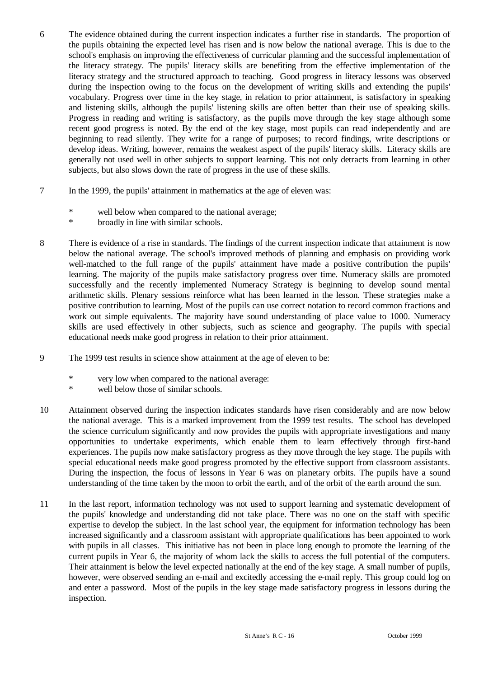- 6 The evidence obtained during the current inspection indicates a further rise in standards. The proportion of the pupils obtaining the expected level has risen and is now below the national average. This is due to the school's emphasis on improving the effectiveness of curricular planning and the successful implementation of the literacy strategy. The pupils' literacy skills are benefiting from the effective implementation of the literacy strategy and the structured approach to teaching. Good progress in literacy lessons was observed during the inspection owing to the focus on the development of writing skills and extending the pupils' vocabulary. Progress over time in the key stage, in relation to prior attainment, is satisfactory in speaking and listening skills, although the pupils' listening skills are often better than their use of speaking skills. Progress in reading and writing is satisfactory, as the pupils move through the key stage although some recent good progress is noted. By the end of the key stage, most pupils can read independently and are beginning to read silently. They write for a range of purposes; to record findings, write descriptions or develop ideas. Writing, however, remains the weakest aspect of the pupils' literacy skills. Literacy skills are generally not used well in other subjects to support learning. This not only detracts from learning in other subjects, but also slows down the rate of progress in the use of these skills.
- 7 In the 1999, the pupils' attainment in mathematics at the age of eleven was:
	- \* well below when compared to the national average;
	- \* broadly in line with similar schools.
- 8 There is evidence of a rise in standards. The findings of the current inspection indicate that attainment is now below the national average. The school's improved methods of planning and emphasis on providing work well-matched to the full range of the pupils' attainment have made a positive contribution the pupils' learning. The majority of the pupils make satisfactory progress over time. Numeracy skills are promoted successfully and the recently implemented Numeracy Strategy is beginning to develop sound mental arithmetic skills. Plenary sessions reinforce what has been learned in the lesson. These strategies make a positive contribution to learning. Most of the pupils can use correct notation to record common fractions and work out simple equivalents. The majority have sound understanding of place value to 1000. Numeracy skills are used effectively in other subjects, such as science and geography. The pupils with special educational needs make good progress in relation to their prior attainment.
- 9 The 1999 test results in science show attainment at the age of eleven to be:
	- \* very low when compared to the national average:
	- \* well below those of similar schools.
- 10 Attainment observed during the inspection indicates standards have risen considerably and are now below the national average. This is a marked improvement from the 1999 test results. The school has developed the science curriculum significantly and now provides the pupils with appropriate investigations and many opportunities to undertake experiments, which enable them to learn effectively through first-hand experiences. The pupils now make satisfactory progress as they move through the key stage. The pupils with special educational needs make good progress promoted by the effective support from classroom assistants. During the inspection, the focus of lessons in Year 6 was on planetary orbits. The pupils have a sound understanding of the time taken by the moon to orbit the earth, and of the orbit of the earth around the sun.
- 11 In the last report, information technology was not used to support learning and systematic development of the pupils' knowledge and understanding did not take place. There was no one on the staff with specific expertise to develop the subject. In the last school year, the equipment for information technology has been increased significantly and a classroom assistant with appropriate qualifications has been appointed to work with pupils in all classes. This initiative has not been in place long enough to promote the learning of the current pupils in Year 6, the majority of whom lack the skills to access the full potential of the computers. Their attainment is below the level expected nationally at the end of the key stage. A small number of pupils, however, were observed sending an e-mail and excitedly accessing the e-mail reply. This group could log on and enter a password. Most of the pupils in the key stage made satisfactory progress in lessons during the inspection.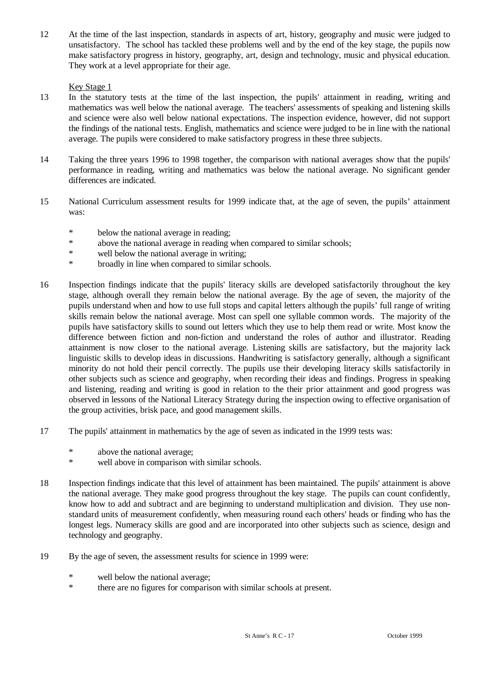12 At the time of the last inspection, standards in aspects of art, history, geography and music were judged to unsatisfactory. The school has tackled these problems well and by the end of the key stage, the pupils now make satisfactory progress in history, geography, art, design and technology, music and physical education. They work at a level appropriate for their age.

### Key Stage 1

- 13 In the statutory tests at the time of the last inspection, the pupils' attainment in reading, writing and mathematics was well below the national average. The teachers' assessments of speaking and listening skills and science were also well below national expectations. The inspection evidence, however, did not support the findings of the national tests. English, mathematics and science were judged to be in line with the national average. The pupils were considered to make satisfactory progress in these three subjects.
- 14 Taking the three years 1996 to 1998 together, the comparison with national averages show that the pupils' performance in reading, writing and mathematics was below the national average. No significant gender differences are indicated.
- 15 National Curriculum assessment results for 1999 indicate that, at the age of seven, the pupils' attainment was:
	- \* below the national average in reading;
	- \* above the national average in reading when compared to similar schools;<br>\* well below the national average in writing:
	- well below the national average in writing;
	- \* broadly in line when compared to similar schools.
- 16 Inspection findings indicate that the pupils' literacy skills are developed satisfactorily throughout the key stage, although overall they remain below the national average. By the age of seven, the majority of the pupils understand when and how to use full stops and capital letters although the pupils' full range of writing skills remain below the national average. Most can spell one syllable common words. The majority of the pupils have satisfactory skills to sound out letters which they use to help them read or write. Most know the difference between fiction and non-fiction and understand the roles of author and illustrator. Reading attainment is now closer to the national average. Listening skills are satisfactory, but the majority lack linguistic skills to develop ideas in discussions. Handwriting is satisfactory generally, although a significant minority do not hold their pencil correctly. The pupils use their developing literacy skills satisfactorily in other subjects such as science and geography, when recording their ideas and findings. Progress in speaking and listening, reading and writing is good in relation to the their prior attainment and good progress was observed in lessons of the National Literacy Strategy during the inspection owing to effective organisation of the group activities, brisk pace, and good management skills.
- 17 The pupils' attainment in mathematics by the age of seven as indicated in the 1999 tests was:
	- \* above the national average;
	- \* well above in comparison with similar schools.
- 18 Inspection findings indicate that this level of attainment has been maintained. The pupils' attainment is above the national average. They make good progress throughout the key stage. The pupils can count confidently, know how to add and subtract and are beginning to understand multiplication and division. They use nonstandard units of measurement confidently, when measuring round each others' heads or finding who has the longest legs. Numeracy skills are good and are incorporated into other subjects such as science, design and technology and geography.
- 19 By the age of seven, the assessment results for science in 1999 were:
	- \* well below the national average;<br>\* there are no figures for comparis
	- there are no figures for comparison with similar schools at present.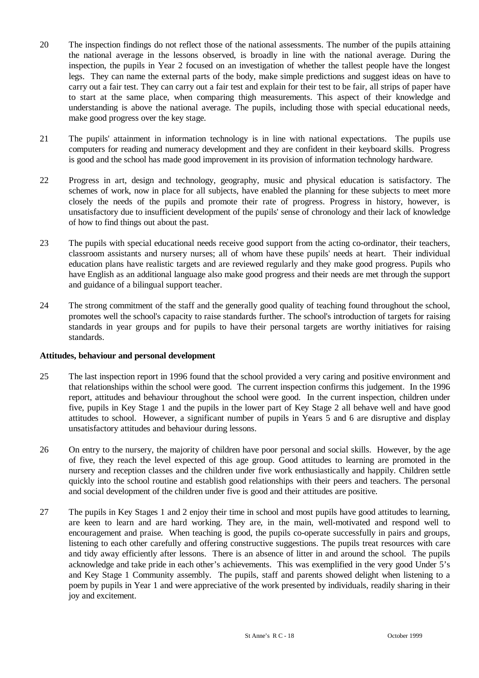- 20 The inspection findings do not reflect those of the national assessments. The number of the pupils attaining the national average in the lessons observed, is broadly in line with the national average. During the inspection, the pupils in Year 2 focused on an investigation of whether the tallest people have the longest legs. They can name the external parts of the body, make simple predictions and suggest ideas on have to carry out a fair test. They can carry out a fair test and explain for their test to be fair, all strips of paper have to start at the same place, when comparing thigh measurements. This aspect of their knowledge and understanding is above the national average. The pupils, including those with special educational needs, make good progress over the key stage.
- 21 The pupils' attainment in information technology is in line with national expectations. The pupils use computers for reading and numeracy development and they are confident in their keyboard skills. Progress is good and the school has made good improvement in its provision of information technology hardware.
- 22 Progress in art, design and technology, geography, music and physical education is satisfactory. The schemes of work, now in place for all subjects, have enabled the planning for these subjects to meet more closely the needs of the pupils and promote their rate of progress. Progress in history, however, is unsatisfactory due to insufficient development of the pupils' sense of chronology and their lack of knowledge of how to find things out about the past.
- 23 The pupils with special educational needs receive good support from the acting co-ordinator, their teachers, classroom assistants and nursery nurses; all of whom have these pupils' needs at heart. Their individual education plans have realistic targets and are reviewed regularly and they make good progress. Pupils who have English as an additional language also make good progress and their needs are met through the support and guidance of a bilingual support teacher.
- 24 The strong commitment of the staff and the generally good quality of teaching found throughout the school, promotes well the school's capacity to raise standards further. The school's introduction of targets for raising standards in year groups and for pupils to have their personal targets are worthy initiatives for raising standards.

#### **Attitudes, behaviour and personal development**

- 25 The last inspection report in 1996 found that the school provided a very caring and positive environment and that relationships within the school were good. The current inspection confirms this judgement. In the 1996 report, attitudes and behaviour throughout the school were good. In the current inspection, children under five, pupils in Key Stage 1 and the pupils in the lower part of Key Stage 2 all behave well and have good attitudes to school. However, a significant number of pupils in Years 5 and 6 are disruptive and display unsatisfactory attitudes and behaviour during lessons.
- 26 On entry to the nursery, the majority of children have poor personal and social skills. However, by the age of five, they reach the level expected of this age group. Good attitudes to learning are promoted in the nursery and reception classes and the children under five work enthusiastically and happily. Children settle quickly into the school routine and establish good relationships with their peers and teachers. The personal and social development of the children under five is good and their attitudes are positive.
- 27 The pupils in Key Stages 1 and 2 enjoy their time in school and most pupils have good attitudes to learning, are keen to learn and are hard working. They are, in the main, well-motivated and respond well to encouragement and praise. When teaching is good, the pupils co-operate successfully in pairs and groups, listening to each other carefully and offering constructive suggestions. The pupils treat resources with care and tidy away efficiently after lessons. There is an absence of litter in and around the school. The pupils acknowledge and take pride in each other's achievements. This was exemplified in the very good Under 5's and Key Stage 1 Community assembly. The pupils, staff and parents showed delight when listening to a poem by pupils in Year 1 and were appreciative of the work presented by individuals, readily sharing in their joy and excitement.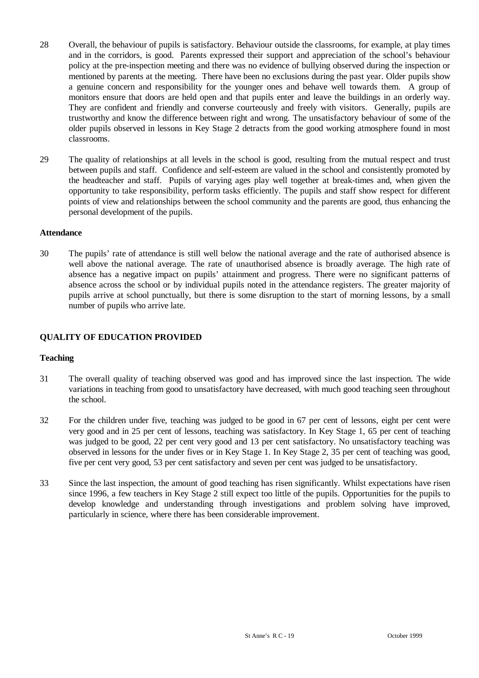- 28 Overall, the behaviour of pupils is satisfactory. Behaviour outside the classrooms, for example, at play times and in the corridors, is good. Parents expressed their support and appreciation of the school's behaviour policy at the pre-inspection meeting and there was no evidence of bullying observed during the inspection or mentioned by parents at the meeting. There have been no exclusions during the past year. Older pupils show a genuine concern and responsibility for the younger ones and behave well towards them. A group of monitors ensure that doors are held open and that pupils enter and leave the buildings in an orderly way. They are confident and friendly and converse courteously and freely with visitors. Generally, pupils are trustworthy and know the difference between right and wrong. The unsatisfactory behaviour of some of the older pupils observed in lessons in Key Stage 2 detracts from the good working atmosphere found in most classrooms.
- 29 The quality of relationships at all levels in the school is good, resulting from the mutual respect and trust between pupils and staff. Confidence and self-esteem are valued in the school and consistently promoted by the headteacher and staff. Pupils of varying ages play well together at break-times and, when given the opportunity to take responsibility, perform tasks efficiently. The pupils and staff show respect for different points of view and relationships between the school community and the parents are good, thus enhancing the personal development of the pupils.

#### **Attendance**

30 The pupils' rate of attendance is still well below the national average and the rate of authorised absence is well above the national average. The rate of unauthorised absence is broadly average. The high rate of absence has a negative impact on pupils' attainment and progress. There were no significant patterns of absence across the school or by individual pupils noted in the attendance registers. The greater majority of pupils arrive at school punctually, but there is some disruption to the start of morning lessons, by a small number of pupils who arrive late.

## **QUALITY OF EDUCATION PROVIDED**

#### **Teaching**

- 31 The overall quality of teaching observed was good and has improved since the last inspection. The wide variations in teaching from good to unsatisfactory have decreased, with much good teaching seen throughout the school.
- 32 For the children under five, teaching was judged to be good in 67 per cent of lessons, eight per cent were very good and in 25 per cent of lessons, teaching was satisfactory. In Key Stage 1, 65 per cent of teaching was judged to be good, 22 per cent very good and 13 per cent satisfactory. No unsatisfactory teaching was observed in lessons for the under fives or in Key Stage 1. In Key Stage 2, 35 per cent of teaching was good, five per cent very good, 53 per cent satisfactory and seven per cent was judged to be unsatisfactory.
- 33 Since the last inspection, the amount of good teaching has risen significantly. Whilst expectations have risen since 1996, a few teachers in Key Stage 2 still expect too little of the pupils. Opportunities for the pupils to develop knowledge and understanding through investigations and problem solving have improved, particularly in science, where there has been considerable improvement.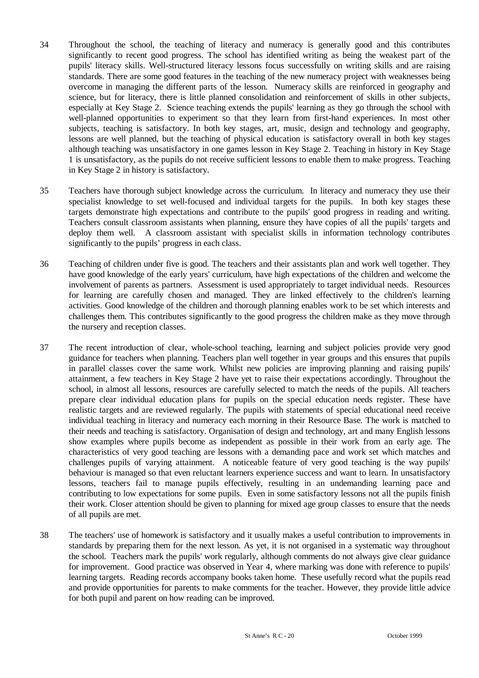- 34 Throughout the school, the teaching of literacy and numeracy is generally good and this contributes significantly to recent good progress. The school has identified writing as being the weakest part of the pupils' literacy skills. Well-structured literacy lessons focus successfully on writing skills and are raising standards. There are some good features in the teaching of the new numeracy project with weaknesses being overcome in managing the different parts of the lesson. Numeracy skills are reinforced in geography and science, but for literacy, there is little planned consolidation and reinforcement of skills in other subjects, especially at Key Stage 2. Science teaching extends the pupils' learning as they go through the school with well-planned opportunities to experiment so that they learn from first-hand experiences. In most other subjects, teaching is satisfactory. In both key stages, art, music, design and technology and geography, lessons are well planned, but the teaching of physical education is satisfactory overall in both key stages although teaching was unsatisfactory in one games lesson in Key Stage 2. Teaching in history in Key Stage 1 is unsatisfactory, as the pupils do not receive sufficient lessons to enable them to make progress. Teaching in Key Stage 2 in history is satisfactory.
- 35 Teachers have thorough subject knowledge across the curriculum. In literacy and numeracy they use their specialist knowledge to set well-focused and individual targets for the pupils. In both key stages these targets demonstrate high expectations and contribute to the pupils' good progress in reading and writing. Teachers consult classroom assistants when planning, ensure they have copies of all the pupils' targets and deploy them well. A classroom assistant with specialist skills in information technology contributes significantly to the pupils' progress in each class.
- 36 Teaching of children under five is good. The teachers and their assistants plan and work well together. They have good knowledge of the early years' curriculum, have high expectations of the children and welcome the involvement of parents as partners. Assessment is used appropriately to target individual needs. Resources for learning are carefully chosen and managed. They are linked effectively to the children's learning activities. Good knowledge of the children and thorough planning enables work to be set which interests and challenges them. This contributes significantly to the good progress the children make as they move through the nursery and reception classes.
- 37 The recent introduction of clear, whole-school teaching, learning and subject policies provide very good guidance for teachers when planning. Teachers plan well together in year groups and this ensures that pupils in parallel classes cover the same work. Whilst new policies are improving planning and raising pupils' attainment, a few teachers in Key Stage 2 have yet to raise their expectations accordingly. Throughout the school, in almost all lessons, resources are carefully selected to match the needs of the pupils. All teachers prepare clear individual education plans for pupils on the special education needs register. These have realistic targets and are reviewed regularly. The pupils with statements of special educational need receive individual teaching in literacy and numeracy each morning in their Resource Base. The work is matched to their needs and teaching is satisfactory. Organisation of design and technology, art and many English lessons show examples where pupils become as independent as possible in their work from an early age. The characteristics of very good teaching are lessons with a demanding pace and work set which matches and challenges pupils of varying attainment. A noticeable feature of very good teaching is the way pupils' behaviour is managed so that even reluctant learners experience success and want to learn. In unsatisfactory lessons, teachers fail to manage pupils effectively, resulting in an undemanding learning pace and contributing to low expectations for some pupils. Even in some satisfactory lessons not all the pupils finish their work. Closer attention should be given to planning for mixed age group classes to ensure that the needs of all pupils are met.
- 38 The teachers' use of homework is satisfactory and it usually makes a useful contribution to improvements in standards by preparing them for the next lesson. As yet, it is not organised in a systematic way throughout the school. Teachers mark the pupils' work regularly, although comments do not always give clear guidance for improvement. Good practice was observed in Year 4, where marking was done with reference to pupils' learning targets. Reading records accompany books taken home. These usefully record what the pupils read and provide opportunities for parents to make comments for the teacher. However, they provide little advice for both pupil and parent on how reading can be improved.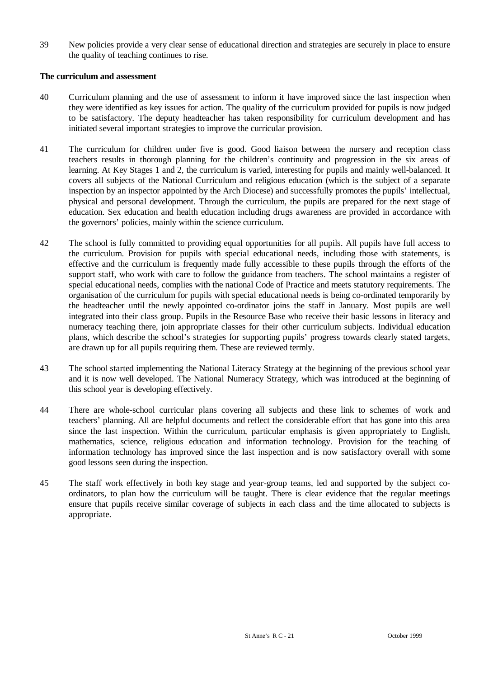39 New policies provide a very clear sense of educational direction and strategies are securely in place to ensure the quality of teaching continues to rise.

### **The curriculum and assessment**

- 40 Curriculum planning and the use of assessment to inform it have improved since the last inspection when they were identified as key issues for action. The quality of the curriculum provided for pupils is now judged to be satisfactory. The deputy headteacher has taken responsibility for curriculum development and has initiated several important strategies to improve the curricular provision.
- 41 The curriculum for children under five is good. Good liaison between the nursery and reception class teachers results in thorough planning for the children's continuity and progression in the six areas of learning. At Key Stages 1 and 2, the curriculum is varied, interesting for pupils and mainly well-balanced. It covers all subjects of the National Curriculum and religious education (which is the subject of a separate inspection by an inspector appointed by the Arch Diocese) and successfully promotes the pupils' intellectual, physical and personal development. Through the curriculum, the pupils are prepared for the next stage of education. Sex education and health education including drugs awareness are provided in accordance with the governors' policies, mainly within the science curriculum.
- 42 The school is fully committed to providing equal opportunities for all pupils. All pupils have full access to the curriculum. Provision for pupils with special educational needs, including those with statements, is effective and the curriculum is frequently made fully accessible to these pupils through the efforts of the support staff, who work with care to follow the guidance from teachers. The school maintains a register of special educational needs, complies with the national Code of Practice and meets statutory requirements. The organisation of the curriculum for pupils with special educational needs is being co-ordinated temporarily by the headteacher until the newly appointed co-ordinator joins the staff in January. Most pupils are well integrated into their class group. Pupils in the Resource Base who receive their basic lessons in literacy and numeracy teaching there, join appropriate classes for their other curriculum subjects. Individual education plans, which describe the school's strategies for supporting pupils' progress towards clearly stated targets, are drawn up for all pupils requiring them. These are reviewed termly.
- 43 The school started implementing the National Literacy Strategy at the beginning of the previous school year and it is now well developed. The National Numeracy Strategy, which was introduced at the beginning of this school year is developing effectively.
- 44 There are whole-school curricular plans covering all subjects and these link to schemes of work and teachers' planning. All are helpful documents and reflect the considerable effort that has gone into this area since the last inspection. Within the curriculum, particular emphasis is given appropriately to English, mathematics, science, religious education and information technology. Provision for the teaching of information technology has improved since the last inspection and is now satisfactory overall with some good lessons seen during the inspection.
- 45 The staff work effectively in both key stage and year-group teams, led and supported by the subject coordinators, to plan how the curriculum will be taught. There is clear evidence that the regular meetings ensure that pupils receive similar coverage of subjects in each class and the time allocated to subjects is appropriate.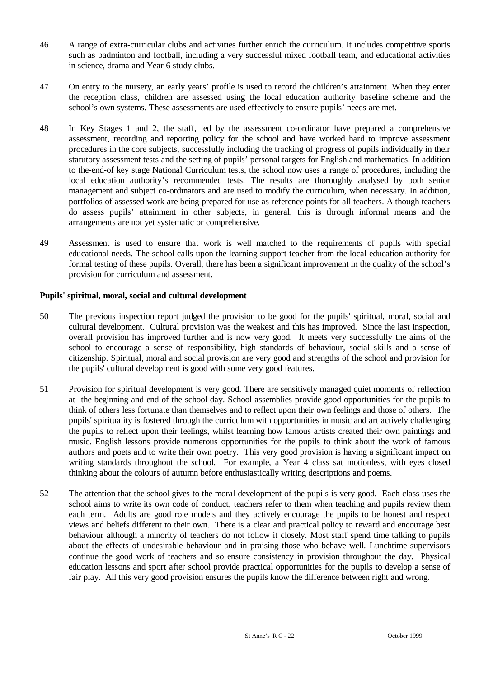- 46 A range of extra-curricular clubs and activities further enrich the curriculum. It includes competitive sports such as badminton and football, including a very successful mixed football team, and educational activities in science, drama and Year 6 study clubs.
- 47 On entry to the nursery, an early years' profile is used to record the children's attainment. When they enter the reception class, children are assessed using the local education authority baseline scheme and the school's own systems. These assessments are used effectively to ensure pupils' needs are met.
- 48 In Key Stages 1 and 2, the staff, led by the assessment co-ordinator have prepared a comprehensive assessment, recording and reporting policy for the school and have worked hard to improve assessment procedures in the core subjects, successfully including the tracking of progress of pupils individually in their statutory assessment tests and the setting of pupils' personal targets for English and mathematics. In addition to the-end-of key stage National Curriculum tests, the school now uses a range of procedures, including the local education authority's recommended tests. The results are thoroughly analysed by both senior management and subject co-ordinators and are used to modify the curriculum, when necessary. In addition, portfolios of assessed work are being prepared for use as reference points for all teachers. Although teachers do assess pupils' attainment in other subjects, in general, this is through informal means and the arrangements are not yet systematic or comprehensive.
- 49 Assessment is used to ensure that work is well matched to the requirements of pupils with special educational needs. The school calls upon the learning support teacher from the local education authority for formal testing of these pupils. Overall, there has been a significant improvement in the quality of the school's provision for curriculum and assessment.

#### **Pupils' spiritual, moral, social and cultural development**

- 50 The previous inspection report judged the provision to be good for the pupils' spiritual, moral, social and cultural development. Cultural provision was the weakest and this has improved. Since the last inspection, overall provision has improved further and is now very good. It meets very successfully the aims of the school to encourage a sense of responsibility, high standards of behaviour, social skills and a sense of citizenship. Spiritual, moral and social provision are very good and strengths of the school and provision for the pupils' cultural development is good with some very good features.
- 51 Provision for spiritual development is very good. There are sensitively managed quiet moments of reflection at the beginning and end of the school day. School assemblies provide good opportunities for the pupils to think of others less fortunate than themselves and to reflect upon their own feelings and those of others. The pupils' spirituality is fostered through the curriculum with opportunities in music and art actively challenging the pupils to reflect upon their feelings, whilst learning how famous artists created their own paintings and music. English lessons provide numerous opportunities for the pupils to think about the work of famous authors and poets and to write their own poetry. This very good provision is having a significant impact on writing standards throughout the school. For example, a Year 4 class sat motionless, with eyes closed thinking about the colours of autumn before enthusiastically writing descriptions and poems.
- 52 The attention that the school gives to the moral development of the pupils is very good. Each class uses the school aims to write its own code of conduct, teachers refer to them when teaching and pupils review them each term. Adults are good role models and they actively encourage the pupils to be honest and respect views and beliefs different to their own. There is a clear and practical policy to reward and encourage best behaviour although a minority of teachers do not follow it closely. Most staff spend time talking to pupils about the effects of undesirable behaviour and in praising those who behave well. Lunchtime supervisors continue the good work of teachers and so ensure consistency in provision throughout the day. Physical education lessons and sport after school provide practical opportunities for the pupils to develop a sense of fair play. All this very good provision ensures the pupils know the difference between right and wrong.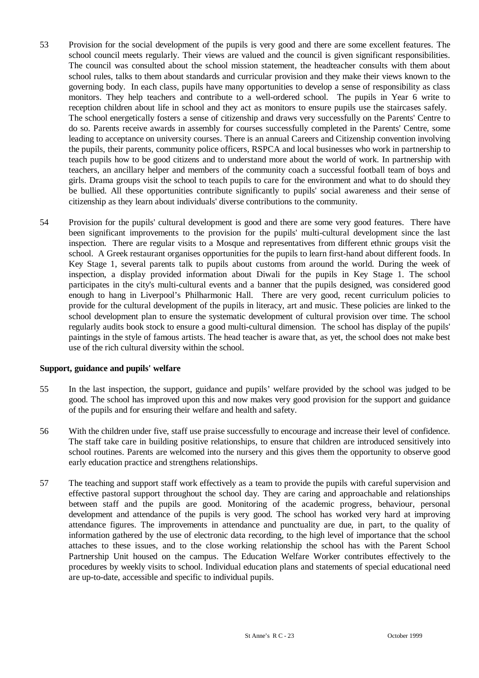- 53 Provision for the social development of the pupils is very good and there are some excellent features. The school council meets regularly. Their views are valued and the council is given significant responsibilities. The council was consulted about the school mission statement, the headteacher consults with them about school rules, talks to them about standards and curricular provision and they make their views known to the governing body. In each class, pupils have many opportunities to develop a sense of responsibility as class monitors. They help teachers and contribute to a well-ordered school. The pupils in Year 6 write to reception children about life in school and they act as monitors to ensure pupils use the staircases safely. The school energetically fosters a sense of citizenship and draws very successfully on the Parents' Centre to do so. Parents receive awards in assembly for courses successfully completed in the Parents' Centre, some leading to acceptance on university courses. There is an annual Careers and Citizenship convention involving the pupils, their parents, community police officers, RSPCA and local businesses who work in partnership to teach pupils how to be good citizens and to understand more about the world of work. In partnership with teachers, an ancillary helper and members of the community coach a successful football team of boys and girls. Drama groups visit the school to teach pupils to care for the environment and what to do should they be bullied. All these opportunities contribute significantly to pupils' social awareness and their sense of citizenship as they learn about individuals' diverse contributions to the community.
- 54 Provision for the pupils' cultural development is good and there are some very good features. There have been significant improvements to the provision for the pupils' multi-cultural development since the last inspection. There are regular visits to a Mosque and representatives from different ethnic groups visit the school. A Greek restaurant organises opportunities for the pupils to learn first-hand about different foods. In Key Stage 1, several parents talk to pupils about customs from around the world. During the week of inspection, a display provided information about Diwali for the pupils in Key Stage 1. The school participates in the city's multi-cultural events and a banner that the pupils designed, was considered good enough to hang in Liverpool's Philharmonic Hall. There are very good, recent curriculum policies to provide for the cultural development of the pupils in literacy, art and music. These policies are linked to the school development plan to ensure the systematic development of cultural provision over time. The school regularly audits book stock to ensure a good multi-cultural dimension. The school has display of the pupils' paintings in the style of famous artists. The head teacher is aware that, as yet, the school does not make best use of the rich cultural diversity within the school.

#### **Support, guidance and pupils' welfare**

- 55 In the last inspection, the support, guidance and pupils' welfare provided by the school was judged to be good. The school has improved upon this and now makes very good provision for the support and guidance of the pupils and for ensuring their welfare and health and safety.
- 56 With the children under five, staff use praise successfully to encourage and increase their level of confidence. The staff take care in building positive relationships, to ensure that children are introduced sensitively into school routines. Parents are welcomed into the nursery and this gives them the opportunity to observe good early education practice and strengthens relationships.
- 57 The teaching and support staff work effectively as a team to provide the pupils with careful supervision and effective pastoral support throughout the school day. They are caring and approachable and relationships between staff and the pupils are good. Monitoring of the academic progress, behaviour, personal development and attendance of the pupils is very good. The school has worked very hard at improving attendance figures. The improvements in attendance and punctuality are due, in part, to the quality of information gathered by the use of electronic data recording, to the high level of importance that the school attaches to these issues, and to the close working relationship the school has with the Parent School Partnership Unit housed on the campus. The Education Welfare Worker contributes effectively to the procedures by weekly visits to school. Individual education plans and statements of special educational need are up-to-date, accessible and specific to individual pupils.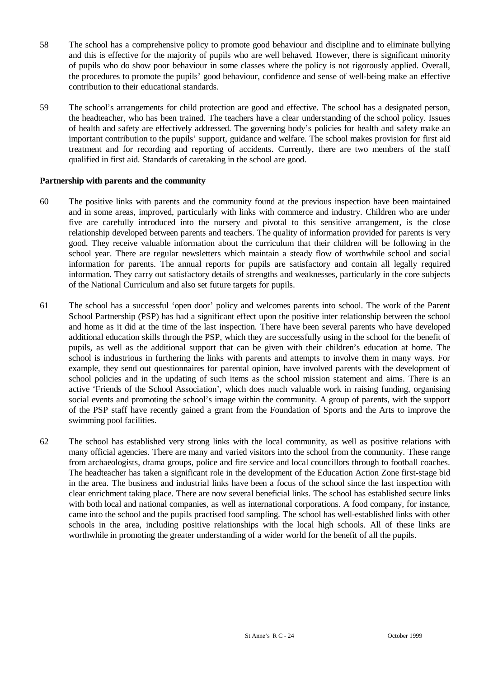- 58 The school has a comprehensive policy to promote good behaviour and discipline and to eliminate bullying and this is effective for the majority of pupils who are well behaved. However, there is significant minority of pupils who do show poor behaviour in some classes where the policy is not rigorously applied. Overall, the procedures to promote the pupils' good behaviour, confidence and sense of well-being make an effective contribution to their educational standards.
- 59 The school's arrangements for child protection are good and effective. The school has a designated person, the headteacher, who has been trained. The teachers have a clear understanding of the school policy. Issues of health and safety are effectively addressed. The governing body's policies for health and safety make an important contribution to the pupils' support, guidance and welfare. The school makes provision for first aid treatment and for recording and reporting of accidents. Currently, there are two members of the staff qualified in first aid. Standards of caretaking in the school are good.

#### **Partnership with parents and the community**

- 60 The positive links with parents and the community found at the previous inspection have been maintained and in some areas, improved, particularly with links with commerce and industry. Children who are under five are carefully introduced into the nursery and pivotal to this sensitive arrangement, is the close relationship developed between parents and teachers. The quality of information provided for parents is very good. They receive valuable information about the curriculum that their children will be following in the school year. There are regular newsletters which maintain a steady flow of worthwhile school and social information for parents. The annual reports for pupils are satisfactory and contain all legally required information. They carry out satisfactory details of strengths and weaknesses, particularly in the core subjects of the National Curriculum and also set future targets for pupils.
- 61 The school has a successful 'open door' policy and welcomes parents into school. The work of the Parent School Partnership (PSP) has had a significant effect upon the positive inter relationship between the school and home as it did at the time of the last inspection. There have been several parents who have developed additional education skills through the PSP, which they are successfully using in the school for the benefit of pupils, as well as the additional support that can be given with their children's education at home. The school is industrious in furthering the links with parents and attempts to involve them in many ways. For example, they send out questionnaires for parental opinion, have involved parents with the development of school policies and in the updating of such items as the school mission statement and aims. There is an active 'Friends of the School Association', which does much valuable work in raising funding, organising social events and promoting the school's image within the community. A group of parents, with the support of the PSP staff have recently gained a grant from the Foundation of Sports and the Arts to improve the swimming pool facilities.
- 62 The school has established very strong links with the local community, as well as positive relations with many official agencies. There are many and varied visitors into the school from the community. These range from archaeologists, drama groups, police and fire service and local councillors through to football coaches. The headteacher has taken a significant role in the development of the Education Action Zone first-stage bid in the area. The business and industrial links have been a focus of the school since the last inspection with clear enrichment taking place. There are now several beneficial links. The school has established secure links with both local and national companies, as well as international corporations. A food company, for instance, came into the school and the pupils practised food sampling. The school has well-established links with other schools in the area, including positive relationships with the local high schools. All of these links are worthwhile in promoting the greater understanding of a wider world for the benefit of all the pupils.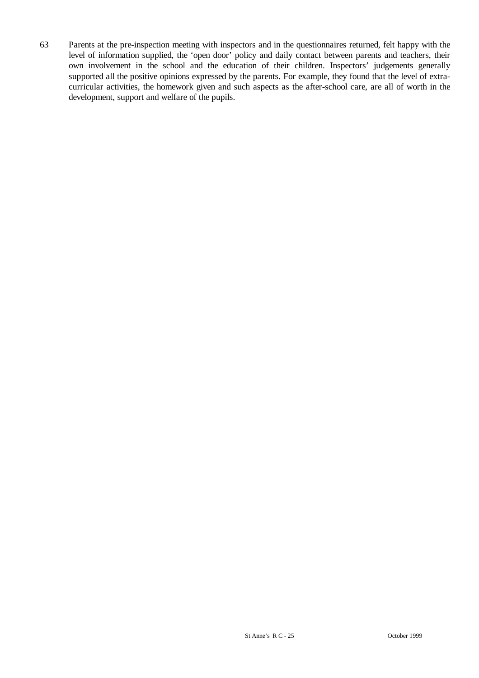63 Parents at the pre-inspection meeting with inspectors and in the questionnaires returned, felt happy with the level of information supplied, the 'open door' policy and daily contact between parents and teachers, their own involvement in the school and the education of their children. Inspectors' judgements generally supported all the positive opinions expressed by the parents. For example, they found that the level of extracurricular activities, the homework given and such aspects as the after-school care, are all of worth in the development, support and welfare of the pupils.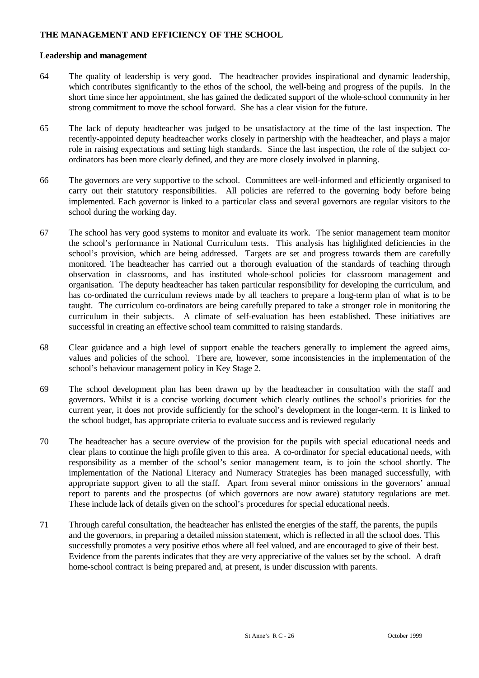## **THE MANAGEMENT AND EFFICIENCY OF THE SCHOOL**

#### **Leadership and management**

- 64 The quality of leadership is very good. The headteacher provides inspirational and dynamic leadership, which contributes significantly to the ethos of the school, the well-being and progress of the pupils. In the short time since her appointment, she has gained the dedicated support of the whole-school community in her strong commitment to move the school forward. She has a clear vision for the future.
- 65 The lack of deputy headteacher was judged to be unsatisfactory at the time of the last inspection. The recently-appointed deputy headteacher works closely in partnership with the headteacher, and plays a major role in raising expectations and setting high standards. Since the last inspection, the role of the subject coordinators has been more clearly defined, and they are more closely involved in planning.
- 66 The governors are very supportive to the school. Committees are well-informed and efficiently organised to carry out their statutory responsibilities. All policies are referred to the governing body before being implemented. Each governor is linked to a particular class and several governors are regular visitors to the school during the working day.
- 67 The school has very good systems to monitor and evaluate its work. The senior management team monitor the school's performance in National Curriculum tests. This analysis has highlighted deficiencies in the school's provision, which are being addressed. Targets are set and progress towards them are carefully monitored. The headteacher has carried out a thorough evaluation of the standards of teaching through observation in classrooms, and has instituted whole-school policies for classroom management and organisation. The deputy headteacher has taken particular responsibility for developing the curriculum, and has co-ordinated the curriculum reviews made by all teachers to prepare a long-term plan of what is to be taught. The curriculum co-ordinators are being carefully prepared to take a stronger role in monitoring the curriculum in their subjects. A climate of self-evaluation has been established. These initiatives are successful in creating an effective school team committed to raising standards.
- 68 Clear guidance and a high level of support enable the teachers generally to implement the agreed aims, values and policies of the school. There are, however, some inconsistencies in the implementation of the school's behaviour management policy in Key Stage 2.
- 69 The school development plan has been drawn up by the headteacher in consultation with the staff and governors. Whilst it is a concise working document which clearly outlines the school's priorities for the current year, it does not provide sufficiently for the school's development in the longer-term. It is linked to the school budget, has appropriate criteria to evaluate success and is reviewed regularly
- 70 The headteacher has a secure overview of the provision for the pupils with special educational needs and clear plans to continue the high profile given to this area. A co-ordinator for special educational needs, with responsibility as a member of the school's senior management team, is to join the school shortly. The implementation of the National Literacy and Numeracy Strategies has been managed successfully, with appropriate support given to all the staff. Apart from several minor omissions in the governors' annual report to parents and the prospectus (of which governors are now aware) statutory regulations are met. These include lack of details given on the school's procedures for special educational needs.
- 71 Through careful consultation, the headteacher has enlisted the energies of the staff, the parents, the pupils and the governors, in preparing a detailed mission statement, which is reflected in all the school does. This successfully promotes a very positive ethos where all feel valued, and are encouraged to give of their best. Evidence from the parents indicates that they are very appreciative of the values set by the school. A draft home-school contract is being prepared and, at present, is under discussion with parents.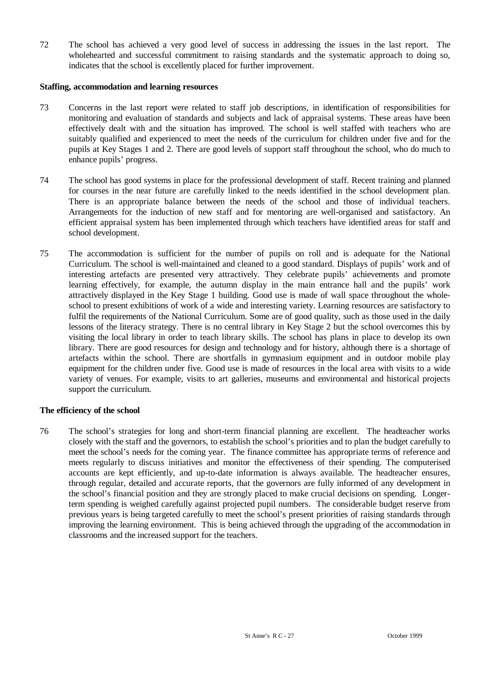72 The school has achieved a very good level of success in addressing the issues in the last report. The wholehearted and successful commitment to raising standards and the systematic approach to doing so, indicates that the school is excellently placed for further improvement.

#### **Staffing, accommodation and learning resources**

- 73 Concerns in the last report were related to staff job descriptions, in identification of responsibilities for monitoring and evaluation of standards and subjects and lack of appraisal systems. These areas have been effectively dealt with and the situation has improved. The school is well staffed with teachers who are suitably qualified and experienced to meet the needs of the curriculum for children under five and for the pupils at Key Stages 1 and 2. There are good levels of support staff throughout the school, who do much to enhance pupils' progress.
- 74 The school has good systems in place for the professional development of staff. Recent training and planned for courses in the near future are carefully linked to the needs identified in the school development plan. There is an appropriate balance between the needs of the school and those of individual teachers. Arrangements for the induction of new staff and for mentoring are well-organised and satisfactory. An efficient appraisal system has been implemented through which teachers have identified areas for staff and school development.
- 75 The accommodation is sufficient for the number of pupils on roll and is adequate for the National Curriculum. The school is well-maintained and cleaned to a good standard. Displays of pupils' work and of interesting artefacts are presented very attractively. They celebrate pupils' achievements and promote learning effectively, for example, the autumn display in the main entrance hall and the pupils' work attractively displayed in the Key Stage 1 building. Good use is made of wall space throughout the wholeschool to present exhibitions of work of a wide and interesting variety. Learning resources are satisfactory to fulfil the requirements of the National Curriculum. Some are of good quality, such as those used in the daily lessons of the literacy strategy. There is no central library in Key Stage 2 but the school overcomes this by visiting the local library in order to teach library skills. The school has plans in place to develop its own library. There are good resources for design and technology and for history, although there is a shortage of artefacts within the school. There are shortfalls in gymnasium equipment and in outdoor mobile play equipment for the children under five. Good use is made of resources in the local area with visits to a wide variety of venues. For example, visits to art galleries, museums and environmental and historical projects support the curriculum.

#### **The efficiency of the school**

76 The school's strategies for long and short-term financial planning are excellent. The headteacher works closely with the staff and the governors, to establish the school's priorities and to plan the budget carefully to meet the school's needs for the coming year. The finance committee has appropriate terms of reference and meets regularly to discuss initiatives and monitor the effectiveness of their spending. The computerised accounts are kept efficiently, and up-to-date information is always available. The headteacher ensures, through regular, detailed and accurate reports, that the governors are fully informed of any development in the school's financial position and they are strongly placed to make crucial decisions on spending. Longerterm spending is weighed carefully against projected pupil numbers. The considerable budget reserve from previous years is being targeted carefully to meet the school's present priorities of raising standards through improving the learning environment. This is being achieved through the upgrading of the accommodation in classrooms and the increased support for the teachers.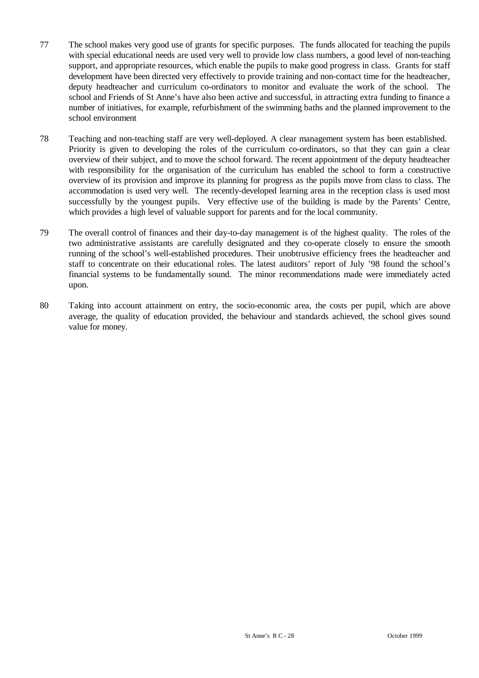- 77 The school makes very good use of grants for specific purposes. The funds allocated for teaching the pupils with special educational needs are used very well to provide low class numbers, a good level of non-teaching support, and appropriate resources, which enable the pupils to make good progress in class. Grants for staff development have been directed very effectively to provide training and non-contact time for the headteacher, deputy headteacher and curriculum co-ordinators to monitor and evaluate the work of the school. The school and Friends of St Anne's have also been active and successful, in attracting extra funding to finance a number of initiatives, for example, refurbishment of the swimming baths and the planned improvement to the school environment
- 78 Teaching and non-teaching staff are very well-deployed. A clear management system has been established. Priority is given to developing the roles of the curriculum co-ordinators, so that they can gain a clear overview of their subject, and to move the school forward. The recent appointment of the deputy headteacher with responsibility for the organisation of the curriculum has enabled the school to form a constructive overview of its provision and improve its planning for progress as the pupils move from class to class. The accommodation is used very well. The recently-developed learning area in the reception class is used most successfully by the youngest pupils. Very effective use of the building is made by the Parents' Centre, which provides a high level of valuable support for parents and for the local community.
- 79 The overall control of finances and their day-to-day management is of the highest quality. The roles of the two administrative assistants are carefully designated and they co-operate closely to ensure the smooth running of the school's well-established procedures. Their unobtrusive efficiency frees the headteacher and staff to concentrate on their educational roles. The latest auditors' report of July '98 found the school's financial systems to be fundamentally sound. The minor recommendations made were immediately acted upon.
- 80 Taking into account attainment on entry, the socio-economic area, the costs per pupil, which are above average, the quality of education provided, the behaviour and standards achieved, the school gives sound value for money.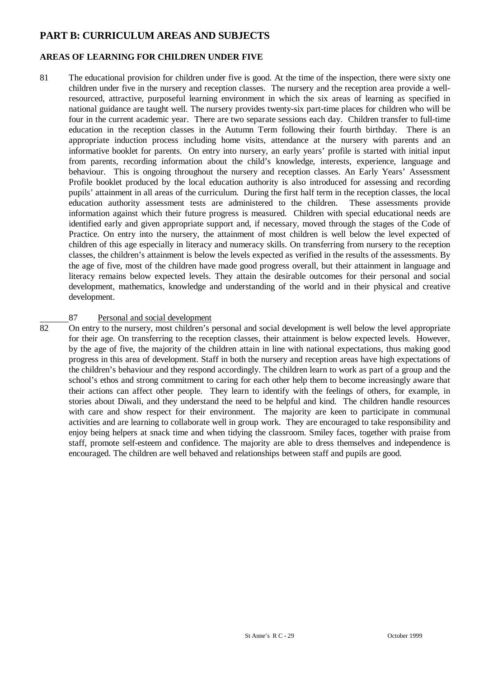# **PART B: CURRICULUM AREAS AND SUBJECTS**

# **AREAS OF LEARNING FOR CHILDREN UNDER FIVE**

81 The educational provision for children under five is good. At the time of the inspection, there were sixty one children under five in the nursery and reception classes. The nursery and the reception area provide a wellresourced, attractive, purposeful learning environment in which the six areas of learning as specified in national guidance are taught well. The nursery provides twenty-six part-time places for children who will be four in the current academic year. There are two separate sessions each day. Children transfer to full-time education in the reception classes in the Autumn Term following their fourth birthday. There is an appropriate induction process including home visits, attendance at the nursery with parents and an informative booklet for parents. On entry into nursery, an early years' profile is started with initial input from parents, recording information about the child's knowledge, interests, experience, language and behaviour. This is ongoing throughout the nursery and reception classes. An Early Years' Assessment Profile booklet produced by the local education authority is also introduced for assessing and recording pupils' attainment in all areas of the curriculum. During the first half term in the reception classes, the local education authority assessment tests are administered to the children. These assessments provide information against which their future progress is measured. Children with special educational needs are identified early and given appropriate support and, if necessary, moved through the stages of the Code of Practice. On entry into the nursery, the attainment of most children is well below the level expected of children of this age especially in literacy and numeracy skills. On transferring from nursery to the reception classes, the children's attainment is below the levels expected as verified in the results of the assessments. By the age of five, most of the children have made good progress overall, but their attainment in language and literacy remains below expected levels. They attain the desirable outcomes for their personal and social development, mathematics, knowledge and understanding of the world and in their physical and creative development.

# 87 Personal and social development<br>82 On entry to the nursery most children's

82 On entry to the nursery, most children's personal and social development is well below the level appropriate for their age. On transferring to the reception classes, their attainment is below expected levels. However, by the age of five, the majority of the children attain in line with national expectations, thus making good progress in this area of development. Staff in both the nursery and reception areas have high expectations of the children's behaviour and they respond accordingly. The children learn to work as part of a group and the school's ethos and strong commitment to caring for each other help them to become increasingly aware that their actions can affect other people. They learn to identify with the feelings of others, for example, in stories about Diwali, and they understand the need to be helpful and kind. The children handle resources with care and show respect for their environment. The majority are keen to participate in communal activities and are learning to collaborate well in group work. They are encouraged to take responsibility and enjoy being helpers at snack time and when tidying the classroom. Smiley faces, together with praise from staff, promote self-esteem and confidence. The majority are able to dress themselves and independence is encouraged. The children are well behaved and relationships between staff and pupils are good.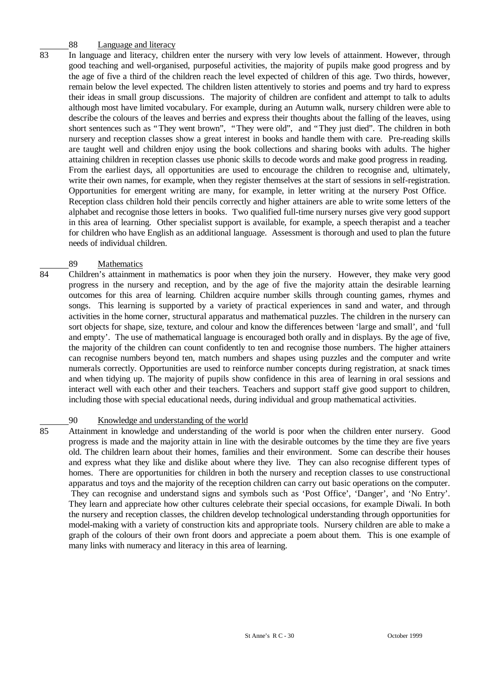# 88 Language and literacy<br>83 In language and literacy child

In language and literacy, children enter the nursery with very low levels of attainment. However, through good teaching and well-organised, purposeful activities, the majority of pupils make good progress and by the age of five a third of the children reach the level expected of children of this age. Two thirds, however, remain below the level expected. The children listen attentively to stories and poems and try hard to express their ideas in small group discussions. The majority of children are confident and attempt to talk to adults although most have limited vocabulary. For example, during an Autumn walk, nursery children were able to describe the colours of the leaves and berries and express their thoughts about the falling of the leaves, using short sentences such as "They went brown", "They were old", and "They just died". The children in both nursery and reception classes show a great interest in books and handle them with care. Pre-reading skills are taught well and children enjoy using the book collections and sharing books with adults. The higher attaining children in reception classes use phonic skills to decode words and make good progress in reading. From the earliest days, all opportunities are used to encourage the children to recognise and, ultimately, write their own names, for example, when they register themselves at the start of sessions in self-registration. Opportunities for emergent writing are many, for example, in letter writing at the nursery Post Office. Reception class children hold their pencils correctly and higher attainers are able to write some letters of the alphabet and recognise those letters in books. Two qualified full-time nursery nurses give very good support in this area of learning. Other specialist support is available, for example, a speech therapist and a teacher for children who have English as an additional language. Assessment is thorough and used to plan the future needs of individual children.

# $rac{89}{84}$  Children's attainment

Children's attainment in mathematics is poor when they join the nursery. However, they make very good progress in the nursery and reception, and by the age of five the majority attain the desirable learning outcomes for this area of learning. Children acquire number skills through counting games, rhymes and songs. This learning is supported by a variety of practical experiences in sand and water, and through activities in the home corner, structural apparatus and mathematical puzzles. The children in the nursery can sort objects for shape, size, texture, and colour and know the differences between 'large and small', and 'full and empty'. The use of mathematical language is encouraged both orally and in displays. By the age of five, the majority of the children can count confidently to ten and recognise those numbers. The higher attainers can recognise numbers beyond ten, match numbers and shapes using puzzles and the computer and write numerals correctly. Opportunities are used to reinforce number concepts during registration, at snack times and when tidying up. The majority of pupils show confidence in this area of learning in oral sessions and interact well with each other and their teachers. Teachers and support staff give good support to children, including those with special educational needs, during individual and group mathematical activities.

# 90 Knowledge and understanding of the world<br>85 Attainment in knowledge and understanding of the

85 Attainment in knowledge and understanding of the world is poor when the children enter nursery. Good progress is made and the majority attain in line with the desirable outcomes by the time they are five years old. The children learn about their homes, families and their environment. Some can describe their houses and express what they like and dislike about where they live. They can also recognise different types of homes. There are opportunities for children in both the nursery and reception classes to use constructional apparatus and toys and the majority of the reception children can carry out basic operations on the computer. They can recognise and understand signs and symbols such as 'Post Office', 'Danger', and 'No Entry'. They learn and appreciate how other cultures celebrate their special occasions, for example Diwali. In both the nursery and reception classes, the children develop technological understanding through opportunities for model-making with a variety of construction kits and appropriate tools. Nursery children are able to make a graph of the colours of their own front doors and appreciate a poem about them. This is one example of many links with numeracy and literacy in this area of learning.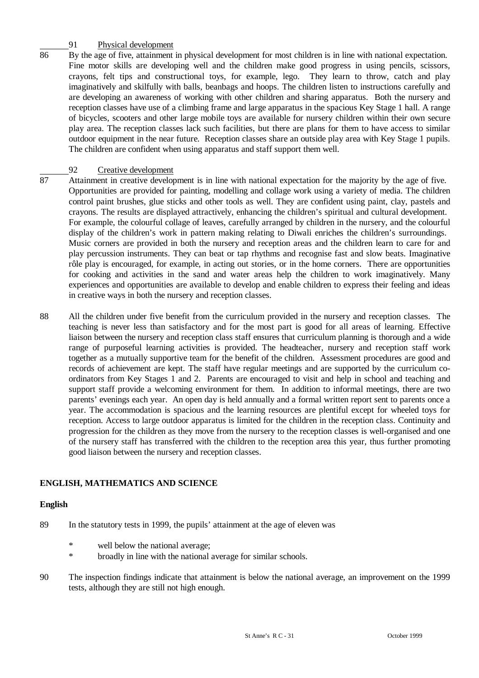# $\frac{91}{86}$  Physical development

By the age of five, attainment in physical development for most children is in line with national expectation. Fine motor skills are developing well and the children make good progress in using pencils, scissors, crayons, felt tips and constructional toys, for example, lego. They learn to throw, catch and play imaginatively and skilfully with balls, beanbags and hoops. The children listen to instructions carefully and are developing an awareness of working with other children and sharing apparatus. Both the nursery and reception classes have use of a climbing frame and large apparatus in the spacious Key Stage 1 hall. A range of bicycles, scooters and other large mobile toys are available for nursery children within their own secure play area. The reception classes lack such facilities, but there are plans for them to have access to similar outdoor equipment in the near future. Reception classes share an outside play area with Key Stage 1 pupils. The children are confident when using apparatus and staff support them well.

# 92 Creative development<br>87 Attainment in creative develor

- Attainment in creative development is in line with national expectation for the majority by the age of five. Opportunities are provided for painting, modelling and collage work using a variety of media. The children control paint brushes, glue sticks and other tools as well. They are confident using paint, clay, pastels and crayons. The results are displayed attractively, enhancing the children's spiritual and cultural development. For example, the colourful collage of leaves, carefully arranged by children in the nursery, and the colourful display of the children's work in pattern making relating to Diwali enriches the children's surroundings. Music corners are provided in both the nursery and reception areas and the children learn to care for and play percussion instruments. They can beat or tap rhythms and recognise fast and slow beats. Imaginative rôle play is encouraged, for example, in acting out stories, or in the home corners. There are opportunities for cooking and activities in the sand and water areas help the children to work imaginatively. Many experiences and opportunities are available to develop and enable children to express their feeling and ideas in creative ways in both the nursery and reception classes.
- 88 All the children under five benefit from the curriculum provided in the nursery and reception classes. The teaching is never less than satisfactory and for the most part is good for all areas of learning. Effective liaison between the nursery and reception class staff ensures that curriculum planning is thorough and a wide range of purposeful learning activities is provided. The headteacher, nursery and reception staff work together as a mutually supportive team for the benefit of the children. Assessment procedures are good and records of achievement are kept. The staff have regular meetings and are supported by the curriculum coordinators from Key Stages 1 and 2. Parents are encouraged to visit and help in school and teaching and support staff provide a welcoming environment for them. In addition to informal meetings, there are two parents' evenings each year. An open day is held annually and a formal written report sent to parents once a year. The accommodation is spacious and the learning resources are plentiful except for wheeled toys for reception. Access to large outdoor apparatus is limited for the children in the reception class. Continuity and progression for the children as they move from the nursery to the reception classes is well-organised and one of the nursery staff has transferred with the children to the reception area this year, thus further promoting good liaison between the nursery and reception classes.

# **ENGLISH, MATHEMATICS AND SCIENCE**

#### **English**

- 89 In the statutory tests in 1999, the pupils' attainment at the age of eleven was
	- \* well below the national average;
	- \* broadly in line with the national average for similar schools.
- 90 The inspection findings indicate that attainment is below the national average, an improvement on the 1999 tests, although they are still not high enough.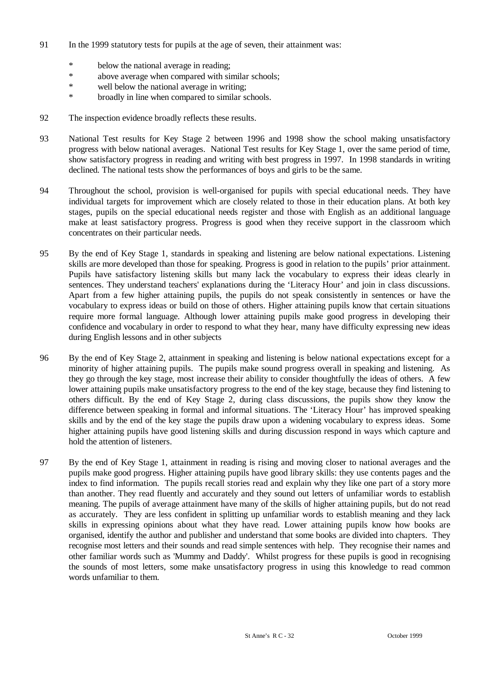- 91 In the 1999 statutory tests for pupils at the age of seven, their attainment was:
	- \* below the national average in reading;<br>\* above average when compared with site
	- above average when compared with similar schools;
	- \* well below the national average in writing;
	- \* broadly in line when compared to similar schools.
- 92 The inspection evidence broadly reflects these results.
- 93 National Test results for Key Stage 2 between 1996 and 1998 show the school making unsatisfactory progress with below national averages. National Test results for Key Stage 1, over the same period of time, show satisfactory progress in reading and writing with best progress in 1997. In 1998 standards in writing declined. The national tests show the performances of boys and girls to be the same.
- 94 Throughout the school, provision is well-organised for pupils with special educational needs. They have individual targets for improvement which are closely related to those in their education plans. At both key stages, pupils on the special educational needs register and those with English as an additional language make at least satisfactory progress. Progress is good when they receive support in the classroom which concentrates on their particular needs.
- 95 By the end of Key Stage 1, standards in speaking and listening are below national expectations. Listening skills are more developed than those for speaking. Progress is good in relation to the pupils' prior attainment. Pupils have satisfactory listening skills but many lack the vocabulary to express their ideas clearly in sentences. They understand teachers' explanations during the 'Literacy Hour' and join in class discussions. Apart from a few higher attaining pupils, the pupils do not speak consistently in sentences or have the vocabulary to express ideas or build on those of others. Higher attaining pupils know that certain situations require more formal language. Although lower attaining pupils make good progress in developing their confidence and vocabulary in order to respond to what they hear, many have difficulty expressing new ideas during English lessons and in other subjects
- 96 By the end of Key Stage 2, attainment in speaking and listening is below national expectations except for a minority of higher attaining pupils. The pupils make sound progress overall in speaking and listening. As they go through the key stage, most increase their ability to consider thoughtfully the ideas of others. A few lower attaining pupils make unsatisfactory progress to the end of the key stage, because they find listening to others difficult. By the end of Key Stage 2, during class discussions, the pupils show they know the difference between speaking in formal and informal situations. The 'Literacy Hour' has improved speaking skills and by the end of the key stage the pupils draw upon a widening vocabulary to express ideas. Some higher attaining pupils have good listening skills and during discussion respond in ways which capture and hold the attention of listeners.
- 97 By the end of Key Stage 1, attainment in reading is rising and moving closer to national averages and the pupils make good progress. Higher attaining pupils have good library skills: they use contents pages and the index to find information. The pupils recall stories read and explain why they like one part of a story more than another. They read fluently and accurately and they sound out letters of unfamiliar words to establish meaning. The pupils of average attainment have many of the skills of higher attaining pupils, but do not read as accurately. They are less confident in splitting up unfamiliar words to establish meaning and they lack skills in expressing opinions about what they have read. Lower attaining pupils know how books are organised, identify the author and publisher and understand that some books are divided into chapters. They recognise most letters and their sounds and read simple sentences with help. They recognise their names and other familiar words such as 'Mummy and Daddy'. Whilst progress for these pupils is good in recognising the sounds of most letters, some make unsatisfactory progress in using this knowledge to read common words unfamiliar to them.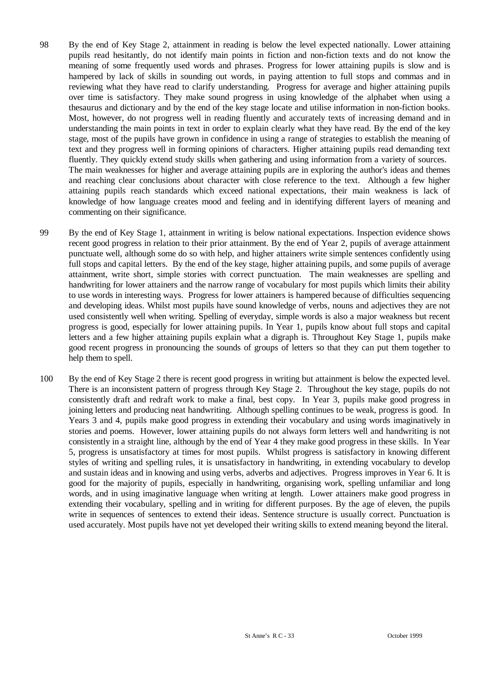- 98 By the end of Key Stage 2, attainment in reading is below the level expected nationally. Lower attaining pupils read hesitantly, do not identify main points in fiction and non-fiction texts and do not know the meaning of some frequently used words and phrases. Progress for lower attaining pupils is slow and is hampered by lack of skills in sounding out words, in paying attention to full stops and commas and in reviewing what they have read to clarify understanding. Progress for average and higher attaining pupils over time is satisfactory. They make sound progress in using knowledge of the alphabet when using a thesaurus and dictionary and by the end of the key stage locate and utilise information in non-fiction books. Most, however, do not progress well in reading fluently and accurately texts of increasing demand and in understanding the main points in text in order to explain clearly what they have read. By the end of the key stage, most of the pupils have grown in confidence in using a range of strategies to establish the meaning of text and they progress well in forming opinions of characters. Higher attaining pupils read demanding text fluently. They quickly extend study skills when gathering and using information from a variety of sources. The main weaknesses for higher and average attaining pupils are in exploring the author's ideas and themes and reaching clear conclusions about character with close reference to the text. Although a few higher attaining pupils reach standards which exceed national expectations, their main weakness is lack of knowledge of how language creates mood and feeling and in identifying different layers of meaning and commenting on their significance.
- 99 By the end of Key Stage 1, attainment in writing is below national expectations. Inspection evidence shows recent good progress in relation to their prior attainment. By the end of Year 2, pupils of average attainment punctuate well, although some do so with help, and higher attainers write simple sentences confidently using full stops and capital letters. By the end of the key stage, higher attaining pupils, and some pupils of average attainment, write short, simple stories with correct punctuation. The main weaknesses are spelling and handwriting for lower attainers and the narrow range of vocabulary for most pupils which limits their ability to use words in interesting ways. Progress for lower attainers is hampered because of difficulties sequencing and developing ideas. Whilst most pupils have sound knowledge of verbs, nouns and adjectives they are not used consistently well when writing. Spelling of everyday, simple words is also a major weakness but recent progress is good, especially for lower attaining pupils. In Year 1, pupils know about full stops and capital letters and a few higher attaining pupils explain what a digraph is. Throughout Key Stage 1, pupils make good recent progress in pronouncing the sounds of groups of letters so that they can put them together to help them to spell.
- 100 By the end of Key Stage 2 there is recent good progress in writing but attainment is below the expected level. There is an inconsistent pattern of progress through Key Stage 2. Throughout the key stage, pupils do not consistently draft and redraft work to make a final, best copy. In Year 3, pupils make good progress in joining letters and producing neat handwriting. Although spelling continues to be weak, progress is good. In Years 3 and 4, pupils make good progress in extending their vocabulary and using words imaginatively in stories and poems. However, lower attaining pupils do not always form letters well and handwriting is not consistently in a straight line, although by the end of Year 4 they make good progress in these skills. In Year 5, progress is unsatisfactory at times for most pupils. Whilst progress is satisfactory in knowing different styles of writing and spelling rules, it is unsatisfactory in handwriting, in extending vocabulary to develop and sustain ideas and in knowing and using verbs, adverbs and adjectives. Progress improves in Year 6. It is good for the majority of pupils, especially in handwriting, organising work, spelling unfamiliar and long words, and in using imaginative language when writing at length. Lower attainers make good progress in extending their vocabulary, spelling and in writing for different purposes. By the age of eleven, the pupils write in sequences of sentences to extend their ideas. Sentence structure is usually correct. Punctuation is used accurately. Most pupils have not yet developed their writing skills to extend meaning beyond the literal.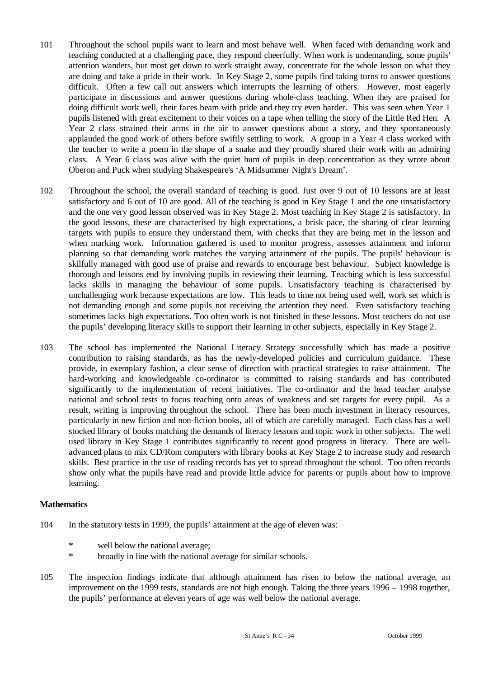- 101 Throughout the school pupils want to learn and most behave well. When faced with demanding work and teaching conducted at a challenging pace, they respond cheerfully. When work is undemanding, some pupils' attention wanders, but most get down to work straight away, concentrate for the whole lesson on what they are doing and take a pride in their work. In Key Stage 2, some pupils find taking turns to answer questions difficult. Often a few call out answers which interrupts the learning of others. However, most eagerly participate in discussions and answer questions during whole-class teaching. When they are praised for doing difficult work well, their faces beam with pride and they try even harder. This was seen when Year 1 pupils listened with great excitement to their voices on a tape when telling the story of the Little Red Hen. A Year 2 class strained their arms in the air to answer questions about a story, and they spontaneously applauded the good work of others before swiftly settling to work. A group in a Year 4 class worked with the teacher to write a poem in the shape of a snake and they proudly shared their work with an admiring class. A Year 6 class was alive with the quiet hum of pupils in deep concentration as they wrote about Oberon and Puck when studying Shakespeare's 'A Midsummer Night's Dream'.
- 102 Throughout the school, the overall standard of teaching is good. Just over 9 out of 10 lessons are at least satisfactory and 6 out of 10 are good. All of the teaching is good in Key Stage 1 and the one unsatisfactory and the one very good lesson observed was in Key Stage 2. Most teaching in Key Stage 2 is satisfactory. In the good lessons, these are characterised by high expectations, a brisk pace, the sharing of clear learning targets with pupils to ensure they understand them, with checks that they are being met in the lesson and when marking work. Information gathered is used to monitor progress, assesses attainment and inform planning so that demanding work matches the varying attainment of the pupils. The pupils' behaviour is skilfully managed with good use of praise and rewards to encourage best behaviour. Subject knowledge is thorough and lessons end by involving pupils in reviewing their learning. Teaching which is less successful lacks skills in managing the behaviour of some pupils. Unsatisfactory teaching is characterised by unchallenging work because expectations are low. This leads to time not being used well, work set which is not demanding enough and some pupils not receiving the attention they need. Even satisfactory teaching sometimes lacks high expectations. Too often work is not finished in these lessons. Most teachers do not use the pupils' developing literacy skills to support their learning in other subjects, especially in Key Stage 2.
- 103 The school has implemented the National Literacy Strategy successfully which has made a positive contribution to raising standards, as has the newly-developed policies and curriculum guidance. These provide, in exemplary fashion, a clear sense of direction with practical strategies to raise attainment. The hard-working and knowledgeable co-ordinator is committed to raising standards and has contributed significantly to the implementation of recent initiatives. The co-ordinator and the head teacher analyse national and school tests to focus teaching onto areas of weakness and set targets for every pupil. As a result, writing is improving throughout the school. There has been much investment in literacy resources, particularly in new fiction and non-fiction books, all of which are carefully managed. Each class has a well stocked library of books matching the demands of literacy lessons and topic work in other subjects. The well used library in Key Stage 1 contributes significantly to recent good progress in literacy. There are welladvanced plans to mix CD/Rom computers with library books at Key Stage 2 to increase study and research skills. Best practice in the use of reading records has yet to spread throughout the school. Too often records show only what the pupils have read and provide little advice for parents or pupils about how to improve learning.

#### **Mathematics**

- 104 In the statutory tests in 1999, the pupils' attainment at the age of eleven was:
	- \* well below the national average;
	- \* broadly in line with the national average for similar schools.
- 105 The inspection findings indicate that although attainment has risen to below the national average, an improvement on the 1999 tests, standards are not high enough. Taking the three years 1996 – 1998 together, the pupils' performance at eleven years of age was well below the national average.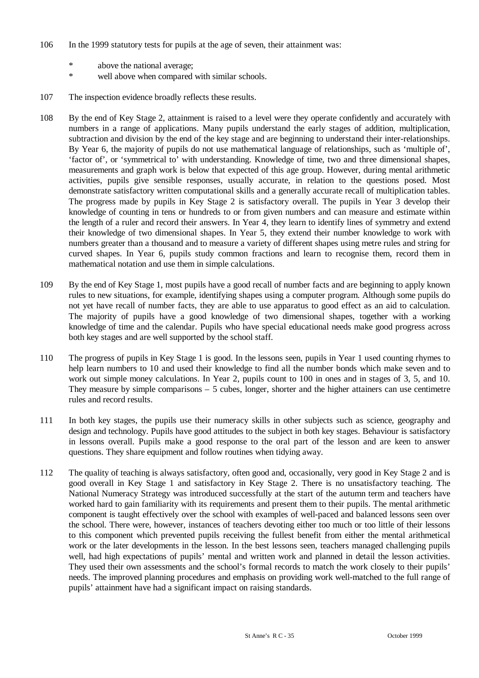- 106 In the 1999 statutory tests for pupils at the age of seven, their attainment was:
	- \* above the national average;
	- \* well above when compared with similar schools.
- 107 The inspection evidence broadly reflects these results.
- 108 By the end of Key Stage 2, attainment is raised to a level were they operate confidently and accurately with numbers in a range of applications. Many pupils understand the early stages of addition, multiplication, subtraction and division by the end of the key stage and are beginning to understand their inter-relationships. By Year 6, the majority of pupils do not use mathematical language of relationships, such as 'multiple of', 'factor of', or 'symmetrical to' with understanding. Knowledge of time, two and three dimensional shapes, measurements and graph work is below that expected of this age group. However, during mental arithmetic activities, pupils give sensible responses, usually accurate, in relation to the questions posed. Most demonstrate satisfactory written computational skills and a generally accurate recall of multiplication tables. The progress made by pupils in Key Stage 2 is satisfactory overall. The pupils in Year 3 develop their knowledge of counting in tens or hundreds to or from given numbers and can measure and estimate within the length of a ruler and record their answers. In Year 4, they learn to identify lines of symmetry and extend their knowledge of two dimensional shapes. In Year 5, they extend their number knowledge to work with numbers greater than a thousand and to measure a variety of different shapes using metre rules and string for curved shapes. In Year 6, pupils study common fractions and learn to recognise them, record them in mathematical notation and use them in simple calculations.
- 109 By the end of Key Stage 1, most pupils have a good recall of number facts and are beginning to apply known rules to new situations, for example, identifying shapes using a computer program. Although some pupils do not yet have recall of number facts, they are able to use apparatus to good effect as an aid to calculation. The majority of pupils have a good knowledge of two dimensional shapes, together with a working knowledge of time and the calendar. Pupils who have special educational needs make good progress across both key stages and are well supported by the school staff.
- 110 The progress of pupils in Key Stage 1 is good. In the lessons seen, pupils in Year 1 used counting rhymes to help learn numbers to 10 and used their knowledge to find all the number bonds which make seven and to work out simple money calculations. In Year 2, pupils count to 100 in ones and in stages of 3, 5, and 10. They measure by simple comparisons – 5 cubes, longer, shorter and the higher attainers can use centimetre rules and record results.
- 111 In both key stages, the pupils use their numeracy skills in other subjects such as science, geography and design and technology. Pupils have good attitudes to the subject in both key stages. Behaviour is satisfactory in lessons overall. Pupils make a good response to the oral part of the lesson and are keen to answer questions. They share equipment and follow routines when tidying away.
- 112 The quality of teaching is always satisfactory, often good and, occasionally, very good in Key Stage 2 and is good overall in Key Stage 1 and satisfactory in Key Stage 2. There is no unsatisfactory teaching. The National Numeracy Strategy was introduced successfully at the start of the autumn term and teachers have worked hard to gain familiarity with its requirements and present them to their pupils. The mental arithmetic component is taught effectively over the school with examples of well-paced and balanced lessons seen over the school. There were, however, instances of teachers devoting either too much or too little of their lessons to this component which prevented pupils receiving the fullest benefit from either the mental arithmetical work or the later developments in the lesson. In the best lessons seen, teachers managed challenging pupils well, had high expectations of pupils' mental and written work and planned in detail the lesson activities. They used their own assessments and the school's formal records to match the work closely to their pupils' needs. The improved planning procedures and emphasis on providing work well-matched to the full range of pupils' attainment have had a significant impact on raising standards.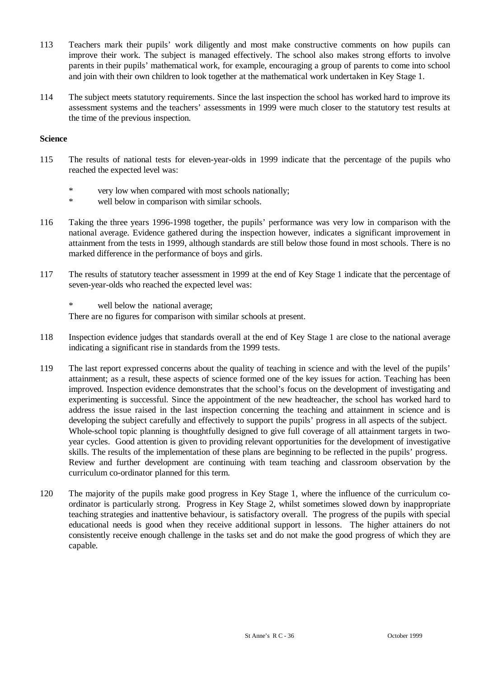- 113 Teachers mark their pupils' work diligently and most make constructive comments on how pupils can improve their work. The subject is managed effectively. The school also makes strong efforts to involve parents in their pupils' mathematical work, for example, encouraging a group of parents to come into school and join with their own children to look together at the mathematical work undertaken in Key Stage 1.
- 114 The subject meets statutory requirements. Since the last inspection the school has worked hard to improve its assessment systems and the teachers' assessments in 1999 were much closer to the statutory test results at the time of the previous inspection.

## **Science**

- 115 The results of national tests for eleven-year-olds in 1999 indicate that the percentage of the pupils who reached the expected level was:
	- \* very low when compared with most schools nationally;<br>\* well below in comparison with similar schools
	- well below in comparison with similar schools.
- 116 Taking the three years 1996-1998 together, the pupils' performance was very low in comparison with the national average. Evidence gathered during the inspection however, indicates a significant improvement in attainment from the tests in 1999, although standards are still below those found in most schools. There is no marked difference in the performance of boys and girls.
- 117 The results of statutory teacher assessment in 1999 at the end of Key Stage 1 indicate that the percentage of seven-year-olds who reached the expected level was:

\* well below the national average; There are no figures for comparison with similar schools at present.

- 118 Inspection evidence judges that standards overall at the end of Key Stage 1 are close to the national average indicating a significant rise in standards from the 1999 tests.
- 119 The last report expressed concerns about the quality of teaching in science and with the level of the pupils' attainment; as a result, these aspects of science formed one of the key issues for action. Teaching has been improved. Inspection evidence demonstrates that the school's focus on the development of investigating and experimenting is successful. Since the appointment of the new headteacher, the school has worked hard to address the issue raised in the last inspection concerning the teaching and attainment in science and is developing the subject carefully and effectively to support the pupils' progress in all aspects of the subject. Whole-school topic planning is thoughtfully designed to give full coverage of all attainment targets in twoyear cycles. Good attention is given to providing relevant opportunities for the development of investigative skills. The results of the implementation of these plans are beginning to be reflected in the pupils' progress. Review and further development are continuing with team teaching and classroom observation by the curriculum co-ordinator planned for this term.
- 120 The majority of the pupils make good progress in Key Stage 1, where the influence of the curriculum coordinator is particularly strong. Progress in Key Stage 2, whilst sometimes slowed down by inappropriate teaching strategies and inattentive behaviour, is satisfactory overall. The progress of the pupils with special educational needs is good when they receive additional support in lessons. The higher attainers do not consistently receive enough challenge in the tasks set and do not make the good progress of which they are capable.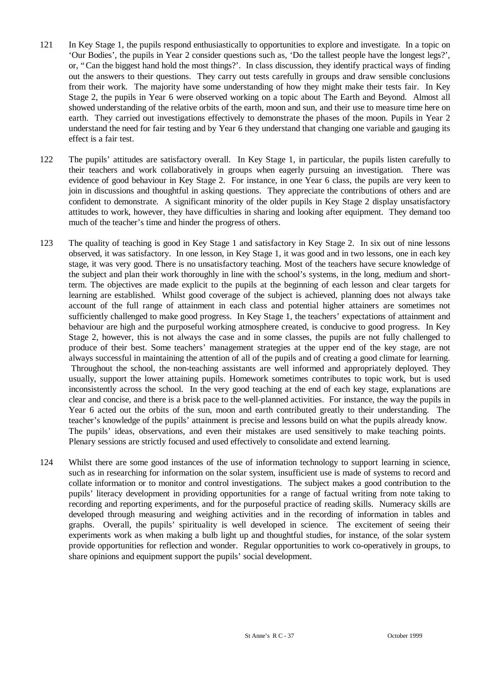- 121 In Key Stage 1, the pupils respond enthusiastically to opportunities to explore and investigate. In a topic on 'Our Bodies', the pupils in Year 2 consider questions such as, 'Do the tallest people have the longest legs?', or, "Can the biggest hand hold the most things?'. In class discussion, they identify practical ways of finding out the answers to their questions. They carry out tests carefully in groups and draw sensible conclusions from their work. The majority have some understanding of how they might make their tests fair. In Key Stage 2, the pupils in Year 6 were observed working on a topic about The Earth and Beyond. Almost all showed understanding of the relative orbits of the earth, moon and sun, and their use to measure time here on earth. They carried out investigations effectively to demonstrate the phases of the moon. Pupils in Year 2 understand the need for fair testing and by Year 6 they understand that changing one variable and gauging its effect is a fair test.
- 122 The pupils' attitudes are satisfactory overall. In Key Stage 1, in particular, the pupils listen carefully to their teachers and work collaboratively in groups when eagerly pursuing an investigation. There was evidence of good behaviour in Key Stage 2. For instance, in one Year 6 class, the pupils are very keen to join in discussions and thoughtful in asking questions. They appreciate the contributions of others and are confident to demonstrate. A significant minority of the older pupils in Key Stage 2 display unsatisfactory attitudes to work, however, they have difficulties in sharing and looking after equipment. They demand too much of the teacher's time and hinder the progress of others.
- 123 The quality of teaching is good in Key Stage 1 and satisfactory in Key Stage 2. In six out of nine lessons observed, it was satisfactory. In one lesson, in Key Stage 1, it was good and in two lessons, one in each key stage, it was very good. There is no unsatisfactory teaching. Most of the teachers have secure knowledge of the subject and plan their work thoroughly in line with the school's systems, in the long, medium and shortterm. The objectives are made explicit to the pupils at the beginning of each lesson and clear targets for learning are established. Whilst good coverage of the subject is achieved, planning does not always take account of the full range of attainment in each class and potential higher attainers are sometimes not sufficiently challenged to make good progress. In Key Stage 1, the teachers' expectations of attainment and behaviour are high and the purposeful working atmosphere created, is conducive to good progress. In Key Stage 2, however, this is not always the case and in some classes, the pupils are not fully challenged to produce of their best. Some teachers' management strategies at the upper end of the key stage, are not always successful in maintaining the attention of all of the pupils and of creating a good climate for learning. Throughout the school, the non-teaching assistants are well informed and appropriately deployed. They usually, support the lower attaining pupils. Homework sometimes contributes to topic work, but is used inconsistently across the school. In the very good teaching at the end of each key stage, explanations are clear and concise, and there is a brisk pace to the well-planned activities. For instance, the way the pupils in Year 6 acted out the orbits of the sun, moon and earth contributed greatly to their understanding. The teacher's knowledge of the pupils' attainment is precise and lessons build on what the pupils already know. The pupils' ideas, observations, and even their mistakes are used sensitively to make teaching points. Plenary sessions are strictly focused and used effectively to consolidate and extend learning.
- 124 Whilst there are some good instances of the use of information technology to support learning in science, such as in researching for information on the solar system, insufficient use is made of systems to record and collate information or to monitor and control investigations. The subject makes a good contribution to the pupils' literacy development in providing opportunities for a range of factual writing from note taking to recording and reporting experiments, and for the purposeful practice of reading skills. Numeracy skills are developed through measuring and weighing activities and in the recording of information in tables and graphs. Overall, the pupils' spirituality is well developed in science. The excitement of seeing their experiments work as when making a bulb light up and thoughtful studies, for instance, of the solar system provide opportunities for reflection and wonder. Regular opportunities to work co-operatively in groups, to share opinions and equipment support the pupils' social development.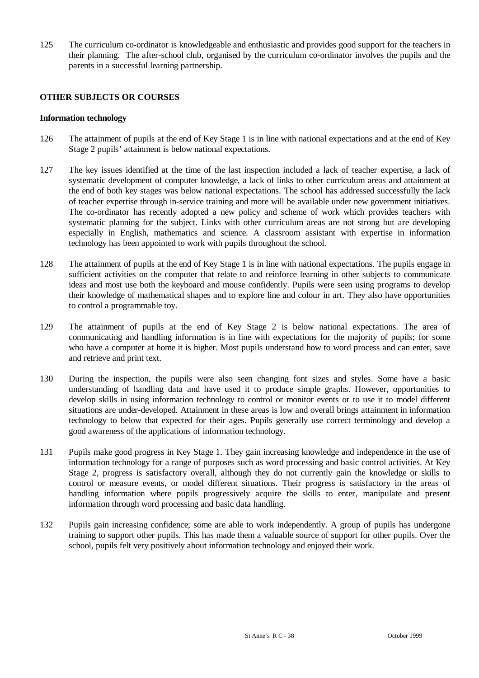125 The curriculum co-ordinator is knowledgeable and enthusiastic and provides good support for the teachers in their planning. The after-school club, organised by the curriculum co-ordinator involves the pupils and the parents in a successful learning partnership.

### **OTHER SUBJECTS OR COURSES**

#### **Information technology**

- 126 The attainment of pupils at the end of Key Stage 1 is in line with national expectations and at the end of Key Stage 2 pupils' attainment is below national expectations.
- 127 The key issues identified at the time of the last inspection included a lack of teacher expertise, a lack of systematic development of computer knowledge, a lack of links to other curriculum areas and attainment at the end of both key stages was below national expectations. The school has addressed successfully the lack of teacher expertise through in-service training and more will be available under new government initiatives. The co-ordinator has recently adopted a new policy and scheme of work which provides teachers with systematic planning for the subject. Links with other curriculum areas are not strong but are developing especially in English, mathematics and science. A classroom assistant with expertise in information technology has been appointed to work with pupils throughout the school.
- 128 The attainment of pupils at the end of Key Stage 1 is in line with national expectations. The pupils engage in sufficient activities on the computer that relate to and reinforce learning in other subjects to communicate ideas and most use both the keyboard and mouse confidently. Pupils were seen using programs to develop their knowledge of mathematical shapes and to explore line and colour in art. They also have opportunities to control a programmable toy.
- 129 The attainment of pupils at the end of Key Stage 2 is below national expectations. The area of communicating and handling information is in line with expectations for the majority of pupils; for some who have a computer at home it is higher. Most pupils understand how to word process and can enter, save and retrieve and print text.
- 130 During the inspection, the pupils were also seen changing font sizes and styles. Some have a basic understanding of handling data and have used it to produce simple graphs. However, opportunities to develop skills in using information technology to control or monitor events or to use it to model different situations are under-developed. Attainment in these areas is low and overall brings attainment in information technology to below that expected for their ages. Pupils generally use correct terminology and develop a good awareness of the applications of information technology.
- 131 Pupils make good progress in Key Stage 1. They gain increasing knowledge and independence in the use of information technology for a range of purposes such as word processing and basic control activities. At Key Stage 2, progress is satisfactory overall, although they do not currently gain the knowledge or skills to control or measure events, or model different situations. Their progress is satisfactory in the areas of handling information where pupils progressively acquire the skills to enter, manipulate and present information through word processing and basic data handling.
- 132 Pupils gain increasing confidence; some are able to work independently. A group of pupils has undergone training to support other pupils. This has made them a valuable source of support for other pupils. Over the school, pupils felt very positively about information technology and enjoyed their work.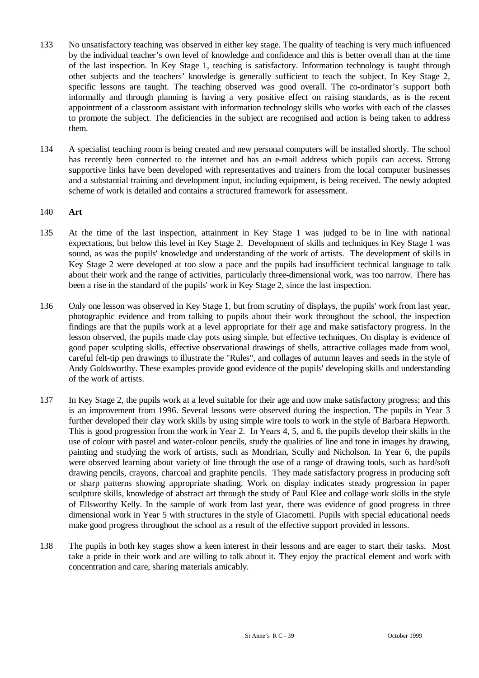- 133 No unsatisfactory teaching was observed in either key stage. The quality of teaching is very much influenced by the individual teacher's own level of knowledge and confidence and this is better overall than at the time of the last inspection. In Key Stage 1, teaching is satisfactory. Information technology is taught through other subjects and the teachers' knowledge is generally sufficient to teach the subject. In Key Stage 2, specific lessons are taught. The teaching observed was good overall. The co-ordinator's support both informally and through planning is having a very positive effect on raising standards, as is the recent appointment of a classroom assistant with information technology skills who works with each of the classes to promote the subject. The deficiencies in the subject are recognised and action is being taken to address them.
- 134 A specialist teaching room is being created and new personal computers will be installed shortly. The school has recently been connected to the internet and has an e-mail address which pupils can access. Strong supportive links have been developed with representatives and trainers from the local computer businesses and a substantial training and development input, including equipment, is being received. The newly adopted scheme of work is detailed and contains a structured framework for assessment.

#### 140 **Art**

- 135 At the time of the last inspection, attainment in Key Stage 1 was judged to be in line with national expectations, but below this level in Key Stage 2. Development of skills and techniques in Key Stage 1 was sound, as was the pupils' knowledge and understanding of the work of artists. The development of skills in Key Stage 2 were developed at too slow a pace and the pupils had insufficient technical language to talk about their work and the range of activities, particularly three-dimensional work, was too narrow. There has been a rise in the standard of the pupils' work in Key Stage 2, since the last inspection.
- 136 Only one lesson was observed in Key Stage 1, but from scrutiny of displays, the pupils' work from last year, photographic evidence and from talking to pupils about their work throughout the school, the inspection findings are that the pupils work at a level appropriate for their age and make satisfactory progress. In the lesson observed, the pupils made clay pots using simple, but effective techniques. On display is evidence of good paper sculpting skills, effective observational drawings of shells, attractive collages made from wool, careful felt-tip pen drawings to illustrate the "Rules", and collages of autumn leaves and seeds in the style of Andy Goldsworthy. These examples provide good evidence of the pupils' developing skills and understanding of the work of artists.
- 137 In Key Stage 2, the pupils work at a level suitable for their age and now make satisfactory progress; and this is an improvement from 1996. Several lessons were observed during the inspection. The pupils in Year 3 further developed their clay work skills by using simple wire tools to work in the style of Barbara Hepworth. This is good progression from the work in Year 2. In Years 4, 5, and 6, the pupils develop their skills in the use of colour with pastel and water-colour pencils, study the qualities of line and tone in images by drawing, painting and studying the work of artists, such as Mondrian, Scully and Nicholson. In Year 6, the pupils were observed learning about variety of line through the use of a range of drawing tools, such as hard/soft drawing pencils, crayons, charcoal and graphite pencils. They made satisfactory progress in producing soft or sharp patterns showing appropriate shading. Work on display indicates steady progression in paper sculpture skills, knowledge of abstract art through the study of Paul Klee and collage work skills in the style of Ellsworthy Kelly. In the sample of work from last year, there was evidence of good progress in three dimensional work in Year 5 with structures in the style of Giacometti. Pupils with special educational needs make good progress throughout the school as a result of the effective support provided in lessons.
- 138 The pupils in both key stages show a keen interest in their lessons and are eager to start their tasks. Most take a pride in their work and are willing to talk about it. They enjoy the practical element and work with concentration and care, sharing materials amicably.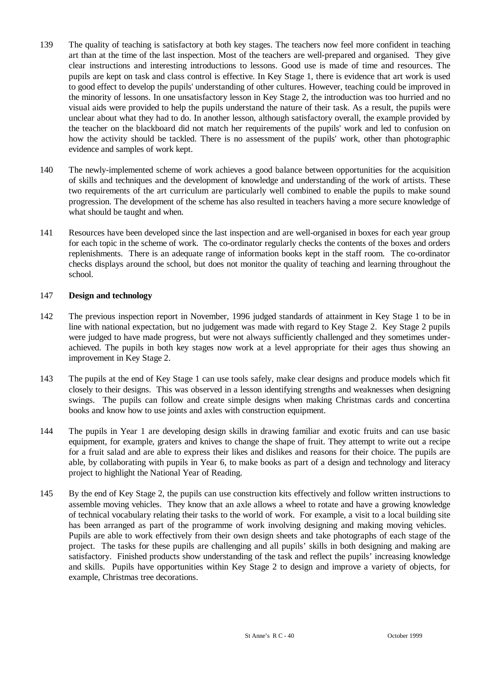- 139 The quality of teaching is satisfactory at both key stages. The teachers now feel more confident in teaching art than at the time of the last inspection. Most of the teachers are well-prepared and organised. They give clear instructions and interesting introductions to lessons. Good use is made of time and resources. The pupils are kept on task and class control is effective. In Key Stage 1, there is evidence that art work is used to good effect to develop the pupils' understanding of other cultures. However, teaching could be improved in the minority of lessons. In one unsatisfactory lesson in Key Stage 2, the introduction was too hurried and no visual aids were provided to help the pupils understand the nature of their task. As a result, the pupils were unclear about what they had to do. In another lesson, although satisfactory overall, the example provided by the teacher on the blackboard did not match her requirements of the pupils' work and led to confusion on how the activity should be tackled. There is no assessment of the pupils' work, other than photographic evidence and samples of work kept.
- 140 The newly-implemented scheme of work achieves a good balance between opportunities for the acquisition of skills and techniques and the development of knowledge and understanding of the work of artists. These two requirements of the art curriculum are particularly well combined to enable the pupils to make sound progression. The development of the scheme has also resulted in teachers having a more secure knowledge of what should be taught and when.
- 141 Resources have been developed since the last inspection and are well-organised in boxes for each year group for each topic in the scheme of work. The co-ordinator regularly checks the contents of the boxes and orders replenishments. There is an adequate range of information books kept in the staff room. The co-ordinator checks displays around the school, but does not monitor the quality of teaching and learning throughout the school.

## 147 **Design and technology**

- 142 The previous inspection report in November, 1996 judged standards of attainment in Key Stage 1 to be in line with national expectation, but no judgement was made with regard to Key Stage 2. Key Stage 2 pupils were judged to have made progress, but were not always sufficiently challenged and they sometimes underachieved. The pupils in both key stages now work at a level appropriate for their ages thus showing an improvement in Key Stage 2.
- 143 The pupils at the end of Key Stage 1 can use tools safely, make clear designs and produce models which fit closely to their designs. This was observed in a lesson identifying strengths and weaknesses when designing swings. The pupils can follow and create simple designs when making Christmas cards and concertina books and know how to use joints and axles with construction equipment.
- 144 The pupils in Year 1 are developing design skills in drawing familiar and exotic fruits and can use basic equipment, for example, graters and knives to change the shape of fruit. They attempt to write out a recipe for a fruit salad and are able to express their likes and dislikes and reasons for their choice. The pupils are able, by collaborating with pupils in Year 6, to make books as part of a design and technology and literacy project to highlight the National Year of Reading.
- 145 By the end of Key Stage 2, the pupils can use construction kits effectively and follow written instructions to assemble moving vehicles. They know that an axle allows a wheel to rotate and have a growing knowledge of technical vocabulary relating their tasks to the world of work. For example, a visit to a local building site has been arranged as part of the programme of work involving designing and making moving vehicles. Pupils are able to work effectively from their own design sheets and take photographs of each stage of the project. The tasks for these pupils are challenging and all pupils' skills in both designing and making are satisfactory. Finished products show understanding of the task and reflect the pupils' increasing knowledge and skills. Pupils have opportunities within Key Stage 2 to design and improve a variety of objects, for example, Christmas tree decorations.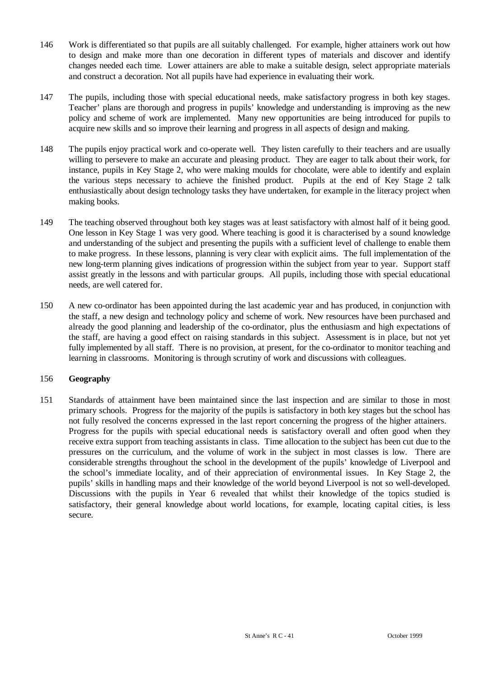- 146 Work is differentiated so that pupils are all suitably challenged. For example, higher attainers work out how to design and make more than one decoration in different types of materials and discover and identify changes needed each time. Lower attainers are able to make a suitable design, select appropriate materials and construct a decoration. Not all pupils have had experience in evaluating their work.
- 147 The pupils, including those with special educational needs, make satisfactory progress in both key stages. Teacher' plans are thorough and progress in pupils' knowledge and understanding is improving as the new policy and scheme of work are implemented. Many new opportunities are being introduced for pupils to acquire new skills and so improve their learning and progress in all aspects of design and making.
- 148 The pupils enjoy practical work and co-operate well. They listen carefully to their teachers and are usually willing to persevere to make an accurate and pleasing product. They are eager to talk about their work, for instance, pupils in Key Stage 2, who were making moulds for chocolate, were able to identify and explain the various steps necessary to achieve the finished product. Pupils at the end of Key Stage 2 talk enthusiastically about design technology tasks they have undertaken, for example in the literacy project when making books.
- 149 The teaching observed throughout both key stages was at least satisfactory with almost half of it being good. One lesson in Key Stage 1 was very good. Where teaching is good it is characterised by a sound knowledge and understanding of the subject and presenting the pupils with a sufficient level of challenge to enable them to make progress. In these lessons, planning is very clear with explicit aims. The full implementation of the new long-term planning gives indications of progression within the subject from year to year. Support staff assist greatly in the lessons and with particular groups. All pupils, including those with special educational needs, are well catered for.
- 150 A new co-ordinator has been appointed during the last academic year and has produced, in conjunction with the staff, a new design and technology policy and scheme of work. New resources have been purchased and already the good planning and leadership of the co-ordinator, plus the enthusiasm and high expectations of the staff, are having a good effect on raising standards in this subject. Assessment is in place, but not yet fully implemented by all staff. There is no provision, at present, for the co-ordinator to monitor teaching and learning in classrooms. Monitoring is through scrutiny of work and discussions with colleagues.

#### 156 **Geography**

151 Standards of attainment have been maintained since the last inspection and are similar to those in most primary schools. Progress for the majority of the pupils is satisfactory in both key stages but the school has not fully resolved the concerns expressed in the last report concerning the progress of the higher attainers. Progress for the pupils with special educational needs is satisfactory overall and often good when they receive extra support from teaching assistants in class. Time allocation to the subject has been cut due to the pressures on the curriculum, and the volume of work in the subject in most classes is low. There are considerable strengths throughout the school in the development of the pupils' knowledge of Liverpool and the school's immediate locality, and of their appreciation of environmental issues. In Key Stage 2, the pupils' skills in handling maps and their knowledge of the world beyond Liverpool is not so well-developed. Discussions with the pupils in Year 6 revealed that whilst their knowledge of the topics studied is satisfactory, their general knowledge about world locations, for example, locating capital cities, is less secure.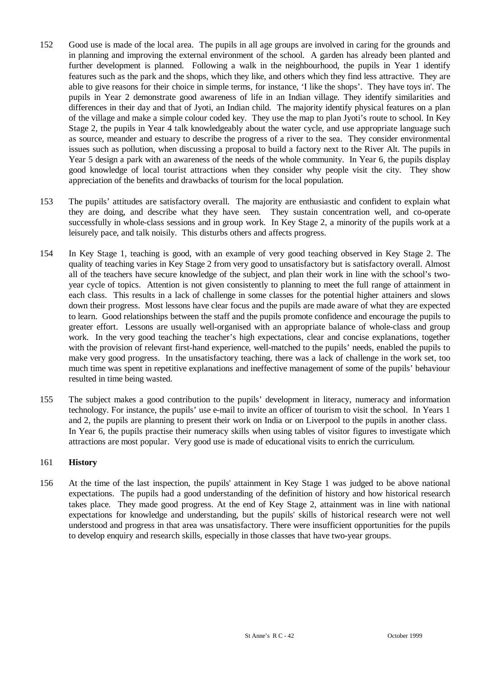- 152 Good use is made of the local area. The pupils in all age groups are involved in caring for the grounds and in planning and improving the external environment of the school. A garden has already been planted and further development is planned. Following a walk in the neighbourhood, the pupils in Year 1 identify features such as the park and the shops, which they like, and others which they find less attractive. They are able to give reasons for their choice in simple terms, for instance, 'I like the shops'. They have toys in'. The pupils in Year 2 demonstrate good awareness of life in an Indian village. They identify similarities and differences in their day and that of Jyoti, an Indian child. The majority identify physical features on a plan of the village and make a simple colour coded key. They use the map to plan Jyoti's route to school. In Key Stage 2, the pupils in Year 4 talk knowledgeably about the water cycle, and use appropriate language such as source, meander and estuary to describe the progress of a river to the sea. They consider environmental issues such as pollution, when discussing a proposal to build a factory next to the River Alt. The pupils in Year 5 design a park with an awareness of the needs of the whole community. In Year 6, the pupils display good knowledge of local tourist attractions when they consider why people visit the city. They show appreciation of the benefits and drawbacks of tourism for the local population.
- 153 The pupils' attitudes are satisfactory overall. The majority are enthusiastic and confident to explain what they are doing, and describe what they have seen. They sustain concentration well, and co-operate successfully in whole-class sessions and in group work. In Key Stage 2, a minority of the pupils work at a leisurely pace, and talk noisily. This disturbs others and affects progress.
- 154 In Key Stage 1, teaching is good, with an example of very good teaching observed in Key Stage 2. The quality of teaching varies in Key Stage 2 from very good to unsatisfactory but is satisfactory overall. Almost all of the teachers have secure knowledge of the subject, and plan their work in line with the school's twoyear cycle of topics. Attention is not given consistently to planning to meet the full range of attainment in each class. This results in a lack of challenge in some classes for the potential higher attainers and slows down their progress. Most lessons have clear focus and the pupils are made aware of what they are expected to learn. Good relationships between the staff and the pupils promote confidence and encourage the pupils to greater effort. Lessons are usually well-organised with an appropriate balance of whole-class and group work. In the very good teaching the teacher's high expectations, clear and concise explanations, together with the provision of relevant first-hand experience, well-matched to the pupils' needs, enabled the pupils to make very good progress. In the unsatisfactory teaching, there was a lack of challenge in the work set, too much time was spent in repetitive explanations and ineffective management of some of the pupils' behaviour resulted in time being wasted.
- 155 The subject makes a good contribution to the pupils' development in literacy, numeracy and information technology. For instance, the pupils' use e-mail to invite an officer of tourism to visit the school. In Years 1 and 2, the pupils are planning to present their work on India or on Liverpool to the pupils in another class. In Year 6, the pupils practise their numeracy skills when using tables of visitor figures to investigate which attractions are most popular. Very good use is made of educational visits to enrich the curriculum.

## 161 **History**

156 At the time of the last inspection, the pupils' attainment in Key Stage 1 was judged to be above national expectations. The pupils had a good understanding of the definition of history and how historical research takes place. They made good progress. At the end of Key Stage 2, attainment was in line with national expectations for knowledge and understanding, but the pupils' skills of historical research were not well understood and progress in that area was unsatisfactory. There were insufficient opportunities for the pupils to develop enquiry and research skills, especially in those classes that have two-year groups.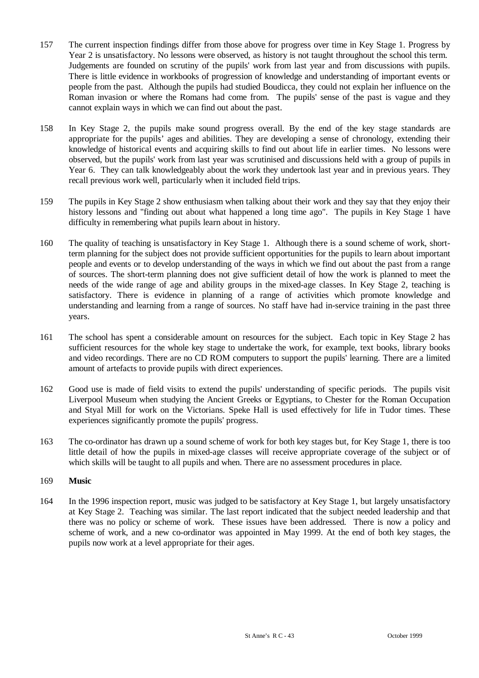- 157 The current inspection findings differ from those above for progress over time in Key Stage 1. Progress by Year 2 is unsatisfactory. No lessons were observed, as history is not taught throughout the school this term. Judgements are founded on scrutiny of the pupils' work from last year and from discussions with pupils. There is little evidence in workbooks of progression of knowledge and understanding of important events or people from the past. Although the pupils had studied Boudicca, they could not explain her influence on the Roman invasion or where the Romans had come from. The pupils' sense of the past is vague and they cannot explain ways in which we can find out about the past.
- 158 In Key Stage 2, the pupils make sound progress overall. By the end of the key stage standards are appropriate for the pupils' ages and abilities. They are developing a sense of chronology, extending their knowledge of historical events and acquiring skills to find out about life in earlier times. No lessons were observed, but the pupils' work from last year was scrutinised and discussions held with a group of pupils in Year 6. They can talk knowledgeably about the work they undertook last year and in previous years. They recall previous work well, particularly when it included field trips.
- 159 The pupils in Key Stage 2 show enthusiasm when talking about their work and they say that they enjoy their history lessons and "finding out about what happened a long time ago". The pupils in Key Stage 1 have difficulty in remembering what pupils learn about in history.
- 160 The quality of teaching is unsatisfactory in Key Stage 1. Although there is a sound scheme of work, shortterm planning for the subject does not provide sufficient opportunities for the pupils to learn about important people and events or to develop understanding of the ways in which we find out about the past from a range of sources. The short-term planning does not give sufficient detail of how the work is planned to meet the needs of the wide range of age and ability groups in the mixed-age classes. In Key Stage 2, teaching is satisfactory. There is evidence in planning of a range of activities which promote knowledge and understanding and learning from a range of sources. No staff have had in-service training in the past three years.
- 161 The school has spent a considerable amount on resources for the subject. Each topic in Key Stage 2 has sufficient resources for the whole key stage to undertake the work, for example, text books, library books and video recordings. There are no CD ROM computers to support the pupils' learning. There are a limited amount of artefacts to provide pupils with direct experiences.
- 162 Good use is made of field visits to extend the pupils' understanding of specific periods. The pupils visit Liverpool Museum when studying the Ancient Greeks or Egyptians, to Chester for the Roman Occupation and Styal Mill for work on the Victorians. Speke Hall is used effectively for life in Tudor times. These experiences significantly promote the pupils' progress.
- 163 The co-ordinator has drawn up a sound scheme of work for both key stages but, for Key Stage 1, there is too little detail of how the pupils in mixed-age classes will receive appropriate coverage of the subject or of which skills will be taught to all pupils and when. There are no assessment procedures in place.

#### 169 **Music**

164 In the 1996 inspection report, music was judged to be satisfactory at Key Stage 1, but largely unsatisfactory at Key Stage 2. Teaching was similar. The last report indicated that the subject needed leadership and that there was no policy or scheme of work. These issues have been addressed. There is now a policy and scheme of work, and a new co-ordinator was appointed in May 1999. At the end of both key stages, the pupils now work at a level appropriate for their ages.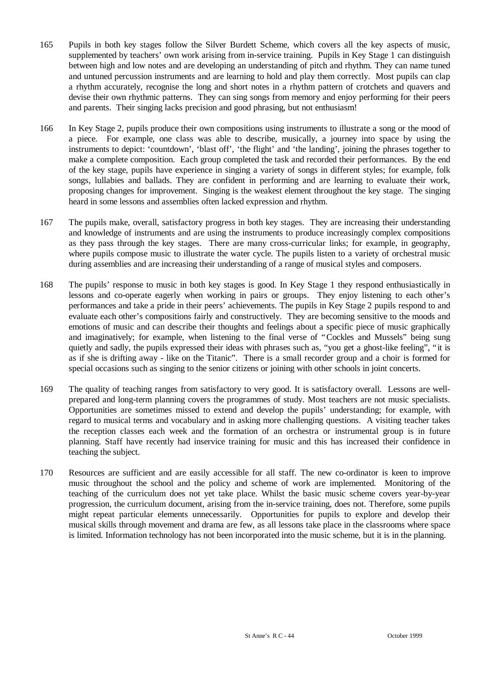- 165 Pupils in both key stages follow the Silver Burdett Scheme, which covers all the key aspects of music, supplemented by teachers' own work arising from in-service training. Pupils in Key Stage 1 can distinguish between high and low notes and are developing an understanding of pitch and rhythm. They can name tuned and untuned percussion instruments and are learning to hold and play them correctly. Most pupils can clap a rhythm accurately, recognise the long and short notes in a rhythm pattern of crotchets and quavers and devise their own rhythmic patterns. They can sing songs from memory and enjoy performing for their peers and parents. Their singing lacks precision and good phrasing, but not enthusiasm!
- 166 In Key Stage 2, pupils produce their own compositions using instruments to illustrate a song or the mood of a piece. For example, one class was able to describe, musically, a journey into space by using the instruments to depict: 'countdown', 'blast off', 'the flight' and 'the landing', joining the phrases together to make a complete composition. Each group completed the task and recorded their performances. By the end of the key stage, pupils have experience in singing a variety of songs in different styles; for example, folk songs, lullabies and ballads. They are confident in performing and are learning to evaluate their work, proposing changes for improvement. Singing is the weakest element throughout the key stage. The singing heard in some lessons and assemblies often lacked expression and rhythm.
- 167 The pupils make, overall, satisfactory progress in both key stages. They are increasing their understanding and knowledge of instruments and are using the instruments to produce increasingly complex compositions as they pass through the key stages. There are many cross-curricular links; for example, in geography, where pupils compose music to illustrate the water cycle. The pupils listen to a variety of orchestral music during assemblies and are increasing their understanding of a range of musical styles and composers.
- 168 The pupils' response to music in both key stages is good. In Key Stage 1 they respond enthusiastically in lessons and co-operate eagerly when working in pairs or groups. They enjoy listening to each other's performances and take a pride in their peers' achievements. The pupils in Key Stage 2 pupils respond to and evaluate each other's compositions fairly and constructively. They are becoming sensitive to the moods and emotions of music and can describe their thoughts and feelings about a specific piece of music graphically and imaginatively; for example, when listening to the final verse of "Cockles and Mussels" being sung quietly and sadly, the pupils expressed their ideas with phrases such as, "you get a ghost-like feeling", "it is as if she is drifting away - like on the Titanic". There is a small recorder group and a choir is formed for special occasions such as singing to the senior citizens or joining with other schools in joint concerts.
- 169 The quality of teaching ranges from satisfactory to very good. It is satisfactory overall. Lessons are wellprepared and long-term planning covers the programmes of study. Most teachers are not music specialists. Opportunities are sometimes missed to extend and develop the pupils' understanding; for example, with regard to musical terms and vocabulary and in asking more challenging questions. A visiting teacher takes the reception classes each week and the formation of an orchestra or instrumental group is in future planning. Staff have recently had inservice training for music and this has increased their confidence in teaching the subject.
- 170 Resources are sufficient and are easily accessible for all staff. The new co-ordinator is keen to improve music throughout the school and the policy and scheme of work are implemented. Monitoring of the teaching of the curriculum does not yet take place. Whilst the basic music scheme covers year-by-year progression, the curriculum document, arising from the in-service training, does not. Therefore, some pupils might repeat particular elements unnecessarily. Opportunities for pupils to explore and develop their musical skills through movement and drama are few, as all lessons take place in the classrooms where space is limited. Information technology has not been incorporated into the music scheme, but it is in the planning.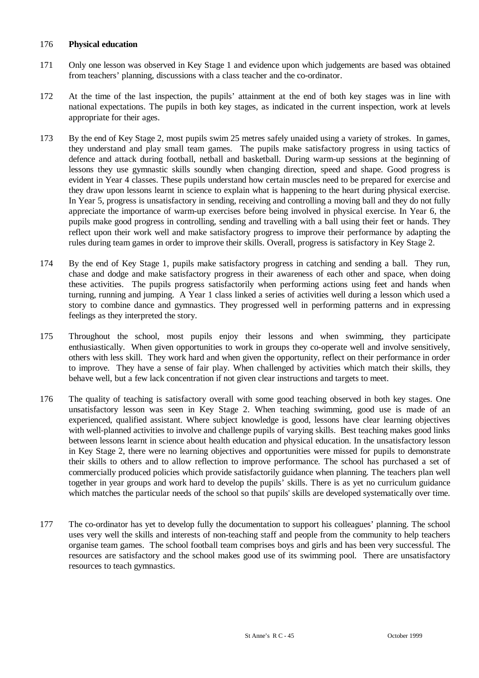#### 176 **Physical education**

- 171 Only one lesson was observed in Key Stage 1 and evidence upon which judgements are based was obtained from teachers' planning, discussions with a class teacher and the co-ordinator.
- 172 At the time of the last inspection, the pupils' attainment at the end of both key stages was in line with national expectations. The pupils in both key stages, as indicated in the current inspection, work at levels appropriate for their ages.
- 173 By the end of Key Stage 2, most pupils swim 25 metres safely unaided using a variety of strokes. In games, they understand and play small team games. The pupils make satisfactory progress in using tactics of defence and attack during football, netball and basketball. During warm-up sessions at the beginning of lessons they use gymnastic skills soundly when changing direction, speed and shape. Good progress is evident in Year 4 classes. These pupils understand how certain muscles need to be prepared for exercise and they draw upon lessons learnt in science to explain what is happening to the heart during physical exercise. In Year 5, progress is unsatisfactory in sending, receiving and controlling a moving ball and they do not fully appreciate the importance of warm-up exercises before being involved in physical exercise. In Year 6, the pupils make good progress in controlling, sending and travelling with a ball using their feet or hands. They reflect upon their work well and make satisfactory progress to improve their performance by adapting the rules during team games in order to improve their skills. Overall, progress is satisfactory in Key Stage 2.
- 174 By the end of Key Stage 1, pupils make satisfactory progress in catching and sending a ball. They run, chase and dodge and make satisfactory progress in their awareness of each other and space, when doing these activities. The pupils progress satisfactorily when performing actions using feet and hands when turning, running and jumping. A Year 1 class linked a series of activities well during a lesson which used a story to combine dance and gymnastics. They progressed well in performing patterns and in expressing feelings as they interpreted the story.
- 175 Throughout the school, most pupils enjoy their lessons and when swimming, they participate enthusiastically. When given opportunities to work in groups they co-operate well and involve sensitively, others with less skill. They work hard and when given the opportunity, reflect on their performance in order to improve. They have a sense of fair play. When challenged by activities which match their skills, they behave well, but a few lack concentration if not given clear instructions and targets to meet.
- 176 The quality of teaching is satisfactory overall with some good teaching observed in both key stages. One unsatisfactory lesson was seen in Key Stage 2. When teaching swimming, good use is made of an experienced, qualified assistant. Where subject knowledge is good, lessons have clear learning objectives with well-planned activities to involve and challenge pupils of varying skills. Best teaching makes good links between lessons learnt in science about health education and physical education. In the unsatisfactory lesson in Key Stage 2, there were no learning objectives and opportunities were missed for pupils to demonstrate their skills to others and to allow reflection to improve performance. The school has purchased a set of commercially produced policies which provide satisfactorily guidance when planning. The teachers plan well together in year groups and work hard to develop the pupils' skills. There is as yet no curriculum guidance which matches the particular needs of the school so that pupils' skills are developed systematically over time.
- 177 The co-ordinator has yet to develop fully the documentation to support his colleagues' planning. The school uses very well the skills and interests of non-teaching staff and people from the community to help teachers organise team games. The school football team comprises boys and girls and has been very successful. The resources are satisfactory and the school makes good use of its swimming pool. There are unsatisfactory resources to teach gymnastics.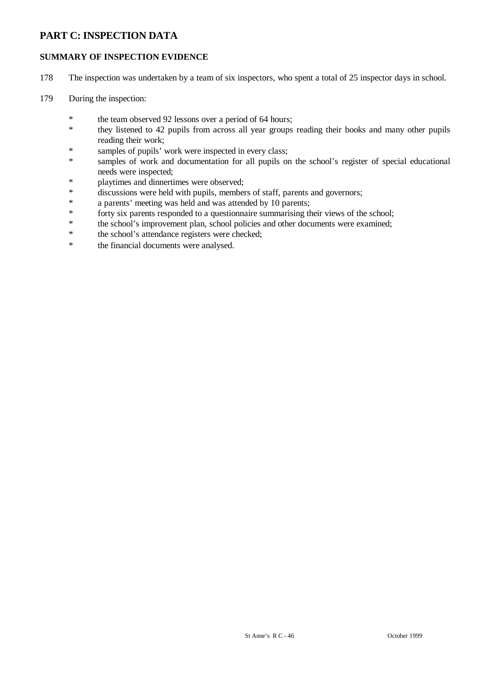# **PART C: INSPECTION DATA**

# **SUMMARY OF INSPECTION EVIDENCE**

- 178 The inspection was undertaken by a team of six inspectors, who spent a total of 25 inspector days in school.
- 179 During the inspection:
	- \* the team observed 92 lessons over a period of 64 hours;
	- \* they listened to 42 pupils from across all year groups reading their books and many other pupils reading their work;
	- \* samples of pupils' work were inspected in every class;
	- \* samples of work and documentation for all pupils on the school's register of special educational needs were inspected;
	- \* playtimes and dinnertimes were observed;
	- \* discussions were held with pupils, members of staff, parents and governors;
	- \* a parents' meeting was held and was attended by 10 parents;
	- \* forty six parents responded to a questionnaire summarising their views of the school;
	- \* the school's improvement plan, school policies and other documents were examined;<br>\* the school's attendance registers were checked;
	- the school's attendance registers were checked;
	- \* the financial documents were analysed.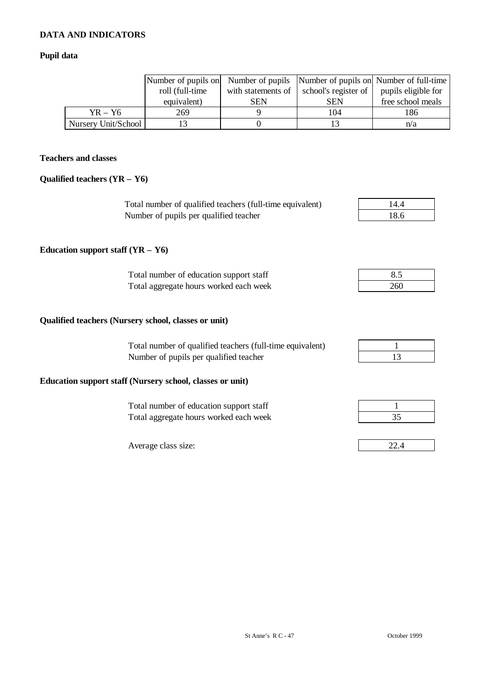# **DATA AND INDICATORS**

# **Pupil data**

|                     | roll (full-time<br>equivalent) | with statements of<br>SEN | school's register of<br><b>SEN</b> | Number of pupils on Number of pupils Number of pupils on Number of full-time<br>pupils eligible for<br>free school meals |
|---------------------|--------------------------------|---------------------------|------------------------------------|--------------------------------------------------------------------------------------------------------------------------|
| $YR - Y6$           | 269                            |                           | 104                                | 186                                                                                                                      |
| Nursery Unit/School |                                |                           |                                    | n/a                                                                                                                      |

# **Teachers and classes**

## **Qualified teachers (YR – Y6)**

| Total number of qualified teachers (full-time equivalent) | 14.4 |
|-----------------------------------------------------------|------|
| Number of pupils per qualified teacher                    | 18.6 |

# **Education support staff (YR – Y6)**

| Total number of education support staff |     |
|-----------------------------------------|-----|
| Total aggregate hours worked each week  | 260 |

## **Qualified teachers (Nursery school, classes or unit)**

| Total number of qualified teachers (full-time equivalent) |  |
|-----------------------------------------------------------|--|
| Number of pupils per qualified teacher                    |  |

## **Education support staff (Nursery school, classes or unit)**

Total number of education support staff 1 Total aggregate hours worked each week 35

Average class size:

| 8.5 |  |
|-----|--|
| 260 |  |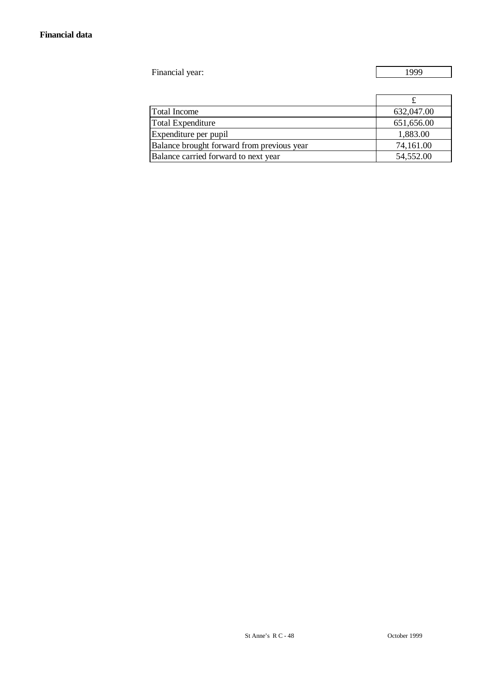Financial year: 1999

| <b>Total Income</b>                        | 632,047.00 |
|--------------------------------------------|------------|
| <b>Total Expenditure</b>                   | 651,656.00 |
| Expenditure per pupil                      | 1,883.00   |
| Balance brought forward from previous year | 74,161.00  |
| Balance carried forward to next year       | 54,552.00  |
|                                            |            |